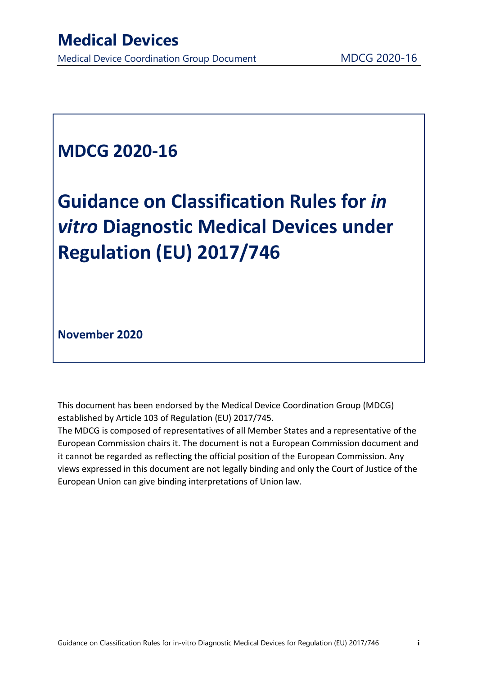Medical Device Coordination Group Document MDCG 2020-16

# **MDCG 2020-16**

# **Guidance on Classification Rules for** *in vitro* **Diagnostic Medical Devices under Regulation (EU) 2017/746**

**November 2020** 

This document has been endorsed by the Medical Device Coordination Group (MDCG) established by Article 103 of Regulation (EU) 2017/745.

The MDCG is composed of representatives of all Member States and a representative of the European Commission chairs it. The document is not a European Commission document and it cannot be regarded as reflecting the official position of the European Commission. Any views expressed in this document are not legally binding and only the Court of Justice of the European Union can give binding interpretations of Union law.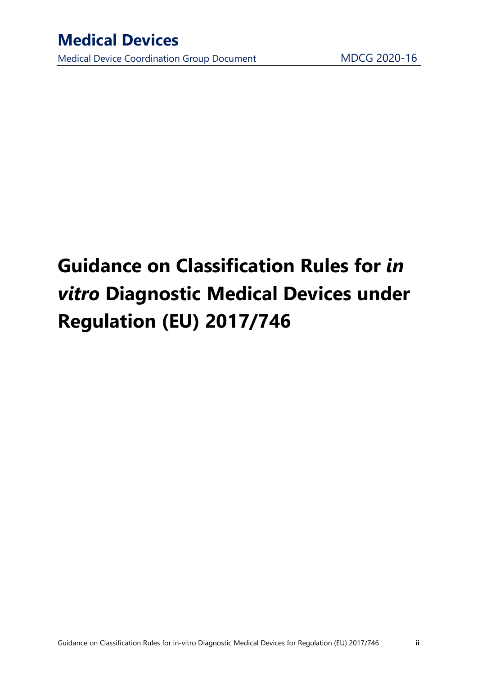Medical Device Coordination Group Document MDCG 2020-16

# **Guidance on Classification Rules for** *in vitro* **Diagnostic Medical Devices under Regulation (EU) 2017/746**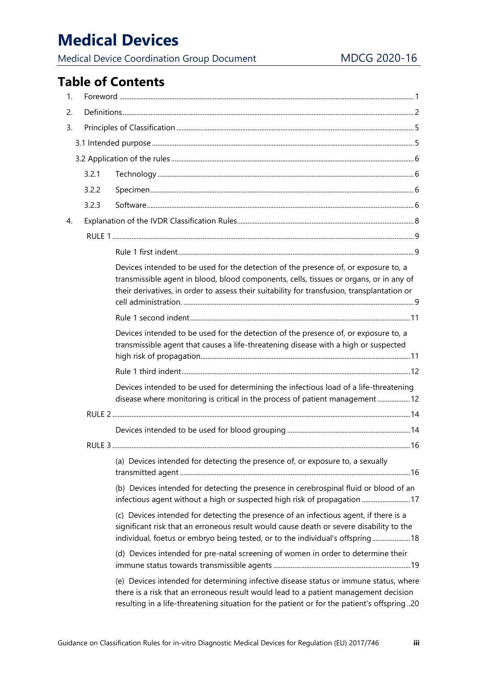Medical Device Coordination Group Document MDCG 2020-16

## **Table of Contents**

| 1. |       |                                                                                                                                                                                                                                                                              |  |  |
|----|-------|------------------------------------------------------------------------------------------------------------------------------------------------------------------------------------------------------------------------------------------------------------------------------|--|--|
| 2. |       |                                                                                                                                                                                                                                                                              |  |  |
| 3. |       |                                                                                                                                                                                                                                                                              |  |  |
|    |       |                                                                                                                                                                                                                                                                              |  |  |
|    |       |                                                                                                                                                                                                                                                                              |  |  |
|    | 3.2.1 |                                                                                                                                                                                                                                                                              |  |  |
|    | 3.2.2 |                                                                                                                                                                                                                                                                              |  |  |
|    | 3.2.3 |                                                                                                                                                                                                                                                                              |  |  |
| 4. |       |                                                                                                                                                                                                                                                                              |  |  |
|    |       |                                                                                                                                                                                                                                                                              |  |  |
|    |       |                                                                                                                                                                                                                                                                              |  |  |
|    |       | Devices intended to be used for the detection of the presence of, or exposure to, a<br>transmissible agent in blood, blood components, cells, tissues or organs, or in any of<br>their derivatives, in order to assess their suitability for transfusion, transplantation or |  |  |
|    |       |                                                                                                                                                                                                                                                                              |  |  |
|    |       | Devices intended to be used for the detection of the presence of, or exposure to, a<br>transmissible agent that causes a life-threatening disease with a high or suspected                                                                                                   |  |  |
|    |       |                                                                                                                                                                                                                                                                              |  |  |
|    |       | Devices intended to be used for determining the infectious load of a life-threatening<br>disease where monitoring is critical in the process of patient management12                                                                                                         |  |  |
|    |       |                                                                                                                                                                                                                                                                              |  |  |
|    |       |                                                                                                                                                                                                                                                                              |  |  |
|    |       |                                                                                                                                                                                                                                                                              |  |  |
|    |       | (a) Devices intended for detecting the presence of, or exposure to, a sexually                                                                                                                                                                                               |  |  |
|    |       | (b) Devices intended for detecting the presence in cerebrospinal fluid or blood of an<br>infectious agent without a high or suspected high risk of propagation  17                                                                                                           |  |  |
|    |       | (c) Devices intended for detecting the presence of an infectious agent, if there is a<br>significant risk that an erroneous result would cause death or severe disability to the<br>individual, foetus or embryo being tested, or to the individual's offspring 18           |  |  |
|    |       | (d) Devices intended for pre-natal screening of women in order to determine their                                                                                                                                                                                            |  |  |
|    |       | (e) Devices intended for determining infective disease status or immune status, where<br>there is a risk that an erroneous result would lead to a patient management decision<br>resulting in a life-threatening situation for the patient or for the patient's offspring 20 |  |  |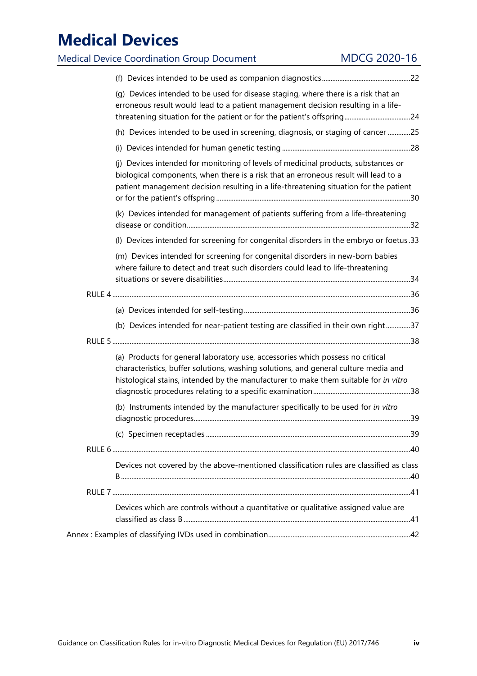| <b>Medical Device Coordination Group Document</b>                                                                                                                                                                                                              | <b>MDCG 2020-16</b> |
|----------------------------------------------------------------------------------------------------------------------------------------------------------------------------------------------------------------------------------------------------------------|---------------------|
|                                                                                                                                                                                                                                                                |                     |
| (g) Devices intended to be used for disease staging, where there is a risk that an<br>erroneous result would lead to a patient management decision resulting in a life-                                                                                        |                     |
| (h) Devices intended to be used in screening, diagnosis, or staging of cancer 25                                                                                                                                                                               |                     |
|                                                                                                                                                                                                                                                                |                     |
| Devices intended for monitoring of levels of medicinal products, substances or<br>biological components, when there is a risk that an erroneous result will lead to a<br>patient management decision resulting in a life-threatening situation for the patient |                     |
| (k) Devices intended for management of patients suffering from a life-threatening                                                                                                                                                                              |                     |
| (I) Devices intended for screening for congenital disorders in the embryo or foetus.33                                                                                                                                                                         |                     |
| (m) Devices intended for screening for congenital disorders in new-born babies<br>where failure to detect and treat such disorders could lead to life-threatening                                                                                              |                     |
|                                                                                                                                                                                                                                                                |                     |
|                                                                                                                                                                                                                                                                |                     |
| (b) Devices intended for near-patient testing are classified in their own right37                                                                                                                                                                              |                     |
|                                                                                                                                                                                                                                                                |                     |
| (a) Products for general laboratory use, accessories which possess no critical<br>characteristics, buffer solutions, washing solutions, and general culture media and<br>histological stains, intended by the manufacturer to make them suitable for in vitro  |                     |
| (b) Instruments intended by the manufacturer specifically to be used for in vitro                                                                                                                                                                              |                     |
|                                                                                                                                                                                                                                                                |                     |
|                                                                                                                                                                                                                                                                |                     |
| Devices not covered by the above-mentioned classification rules are classified as class                                                                                                                                                                        |                     |
|                                                                                                                                                                                                                                                                |                     |
| Devices which are controls without a quantitative or qualitative assigned value are                                                                                                                                                                            |                     |
|                                                                                                                                                                                                                                                                |                     |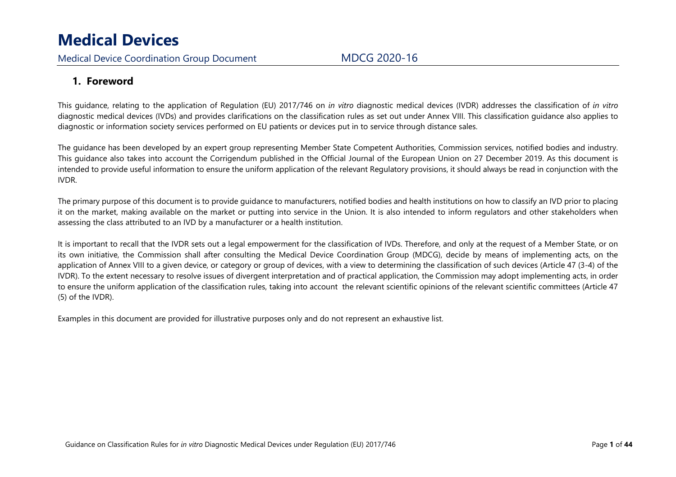Medical Device Coordination Group Document MDCG 2020-16

## **1. Foreword**

This guidance, relating to the application of Regulation (EU) 2017/746 on *in vitro* diagnostic medical devices (IVDR) addresses the classification of *in vitro* diagnostic medical devices (IVDs) and provides clarifications on the classification rules as set out under Annex VIII. This classification guidance also applies to diagnostic or information society services performed on EU patients or devices put in to service through distance sales.

The guidance has been developed by an expert group representing Member State Competent Authorities, Commission services, notified bodies and industry. This guidance also takes into account the Corrigendum published in the Official Journal of the European Union on 27 December 2019. As this document is intended to provide useful information to ensure the uniform application of the relevant Regulatory provisions, it should always be read in conjunction with the IVDR.

The primary purpose of this document is to provide guidance to manufacturers, notified bodies and health institutions on how to classify an IVD prior to placing it on the market, making available on the market or putting into service in the Union. It is also intended to inform regulators and other stakeholders when assessing the class attributed to an IVD by a manufacturer or a health institution.

It is important to recall that the IVDR sets out a legal empowerment for the classification of IVDs. Therefore, and only at the request of a Member State, or on its own initiative, the Commission shall after consulting the Medical Device Coordination Group (MDCG), decide by means of implementing acts, on the application of Annex VIII to a given device, or category or group of devices, with a view to determining the classification of such devices (Article 47 (3-4) of the IVDR). To the extent necessary to resolve issues of divergent interpretation and of practical application, the Commission may adopt implementing acts, in order to ensure the uniform application of the classification rules, taking into account the relevant scientific opinions of the relevant scientific committees (Article 47 (5) of the IVDR).

Examples in this document are provided for illustrative purposes only and do not represent an exhaustive list.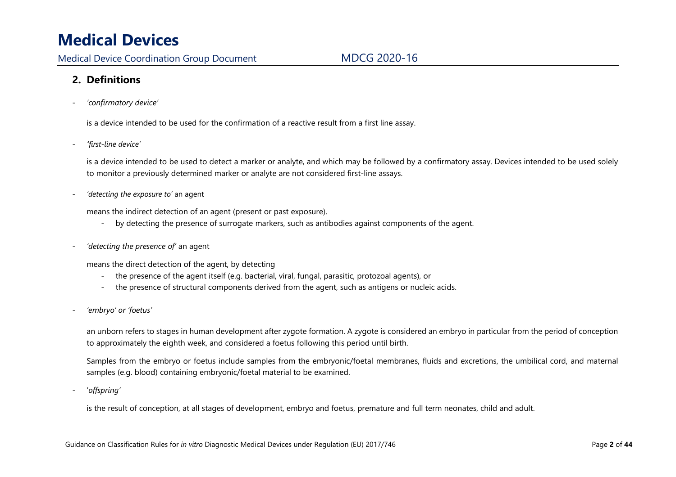## **2. Definitions**

*'confirmatory device'*

is a device intended to be used for the confirmation of a reactive result from a first line assay.

*'first-line device'*

is a device intended to be used to detect a marker or analyte, and which may be followed by a confirmatory assay. Devices intended to be used solely to monitor a previously determined marker or analyte are not considered first-line assays.

*'detecting the exposure to'* an agent

means the indirect detection of an agent (present or past exposure).

- by detecting the presence of surrogate markers, such as antibodies against components of the agent.
- *'detecting the presence of'* an agent

means the direct detection of the agent, by detecting

- the presence of the agent itself (e.g. bacterial, viral, fungal, parasitic, protozoal agents), or
- the presence of structural components derived from the agent, such as antigens or nucleic acids.
- -*'embryo' or 'foetus'*

an unborn refers to stages in human development after zygote formation. A zygote is considered an embryo in particular from the period of conception to approximately the eighth week, and considered a foetus following this period until birth.

Samples from the embryo or foetus include samples from the embryonic/foetal membranes, fluids and excretions, the umbilical cord, and maternal samples (e.g. blood) containing embryonic/foetal material to be examined.

-'*offspring'*

is the result of conception, at all stages of development, embryo and foetus, premature and full term neonates, child and adult.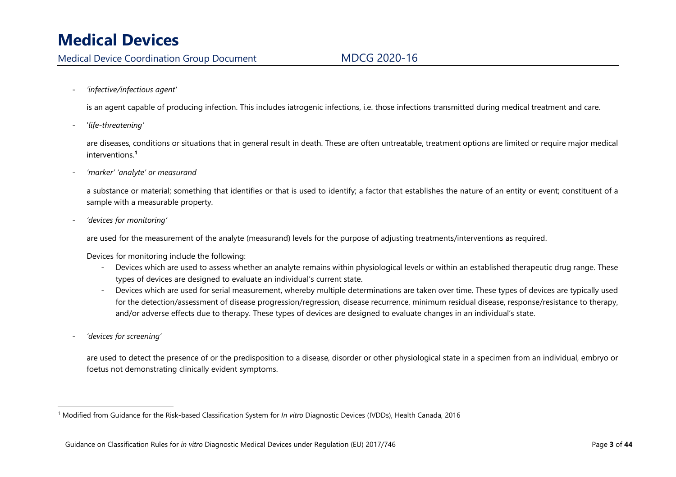-*'infective/infectious agent'*

is an agent capable of producing infection. This includes iatrogenic infections, i.e. those infections transmitted during medical treatment and care.

-'*life-threatening'*

> are diseases, conditions or situations that in general result in death. These are often untreatable, treatment options are limited or require major medical interventions.**<sup>1</sup>**

-*'marker' 'analyte' or measurand* 

> a substance or material; something that identifies or that is used to identify; a factor that establishes the nature of an entity or event; constituent of a sample with a measurable property.

-*'devices for monitoring'* 

are used for the measurement of the analyte (measurand) levels for the purpose of adjusting treatments/interventions as required.

Devices for monitoring include the following:

- - Devices which are used to assess whether an analyte remains within physiological levels or within an established therapeutic drug range. These types of devices are designed to evaluate an individual's current state.
- - Devices which are used for serial measurement, whereby multiple determinations are taken over time. These types of devices are typically used for the detection/assessment of disease progression/regression, disease recurrence, minimum residual disease, response/resistance to therapy, and/or adverse effects due to therapy. These types of devices are designed to evaluate changes in an individual's state.
- *'devices for screening'*

are used to detect the presence of or the predisposition to a disease, disorder or other physiological state in a specimen from an individual, embryo or foetus not demonstrating clinically evident symptoms.

<sup>1</sup> Modified from Guidance for the Risk-based Classification System for *In vitro* Diagnostic Devices (IVDDs), Health Canada, 2016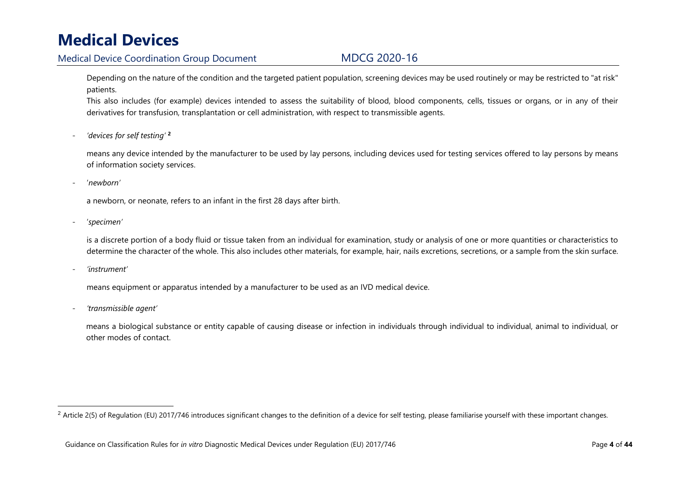## Medical Device Coordination Group Document MDCG 2020-16

Depending on the nature of the condition and the targeted patient population, screening devices may be used routinely or may be restricted to "at risk" patients.

This also includes (for example) devices intended to assess the suitability of blood, blood components, cells, tissues or organs, or in any of their derivatives for transfusion, transplantation or cell administration, with respect to transmissible agents.

-*'devices for self testing'* **<sup>2</sup>**

> means any device intended by the manufacturer to be used by lay persons, including devices used for testing services offered to lay persons by means of information society services.

-'*newborn'*

a newborn, or neonate, refers to an infant in the first 28 days after birth.

-'*specimen'*

> is a discrete portion of a body fluid or tissue taken from an individual for examination, study or analysis of one or more quantities or characteristics to determine the character of the whole. This also includes other materials, for example, hair, nails excretions, secretions, or a sample from the skin surface.

-*'instrument'* 

means equipment or apparatus intended by a manufacturer to be used as an IVD medical device.

-*'transmissible agent'* 

> means a biological substance or entity capable of causing disease or infection in individuals through individual to individual, animal to individual, or other modes of contact.

 $^2$  Article 2(5) of Regulation (EU) 2017/746 introduces significant changes to the definition of a device for self testing, please familiarise yourself with these important changes.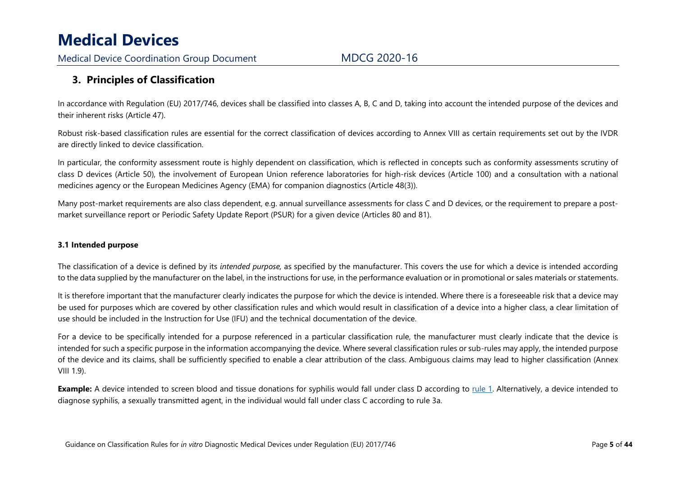Medical Device Coordination Group Document MDCG 2020-16

### **3. Principles of Classification**

In accordance with Regulation (EU) 2017/746, devices shall be classified into classes A, B, C and D, taking into account the intended purpose of the devices and their inherent risks (Article 47).

Robust risk-based classification rules are essential for the correct classification of devices according to Annex VIII as certain requirements set out by the IVDR are directly linked to device classification.

In particular, the conformity assessment route is highly dependent on classification, which is reflected in concepts such as conformity assessments scrutiny of class D devices (Article 50), the involvement of European Union reference laboratories for high-risk devices (Article 100) and a consultation with a national medicines agency or the European Medicines Agency (EMA) for companion diagnostics (Article 48(3)).

Many post-market requirements are also class dependent, e.g. annual surveillance assessments for class C and D devices, or the requirement to prepare a postmarket surveillance report or Periodic Safety Update Report (PSUR) for a given device (Articles 80 and 81).

#### **3.1 Intended purpose**

The classification of a device is defined by its *intended purpose,* as specified by the manufacturer. This covers the use for which a device is intended according to the data supplied by the manufacturer on the label, in the instructions for use, in the performance evaluation or in promotional or sales materials or statements.

It is therefore important that the manufacturer clearly indicates the purpose for which the device is intended. Where there is a foreseeable risk that a device may be used for purposes which are covered by other classification rules and which would result in classification of a device into a higher class, a clear limitation of use should be included in the Instruction for Use (IFU) and the technical documentation of the device.

For a device to be specifically intended for a purpose referenced in a particular classification rule, the manufacturer must clearly indicate that the device is intended for such a specific purpose in the information accompanying the device. Where several classification rules or sub-rules may apply, the intended purpose of the device and its claims, shall be sufficiently specified to enable a clear attribution of the class. Ambiguous claims may lead to higher classification (Annex VIII 1.9).

**Example:** A device intended to screen blood and tissue donations for syphilis would fall under class D according to rule 1. Alternatively, a device intended to diagnose syphilis, a sexually transmitted agent, in the individual would fall under class C according to rule 3a.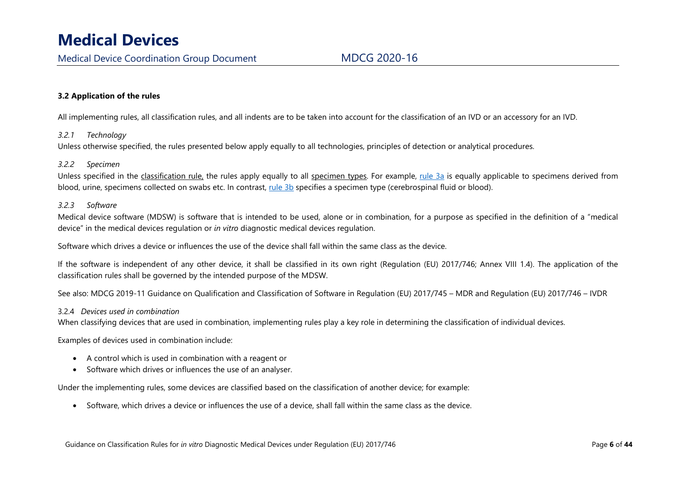### **3.2 Application of the rules**

All implementing rules, all classification rules, and all indents are to be taken into account for the classification of an IVD or an accessory for an IVD.

#### *3.2.1 Technology*

Unless otherwise specified, the rules presented below apply equally to all technologies, principles of detection or analytical procedures.

#### *3.2.2 Specimen*

Unless specified in the classification rule, the rules apply equally to all specimen types. For example, rule 3a is equally applicable to specimens derived from blood, urine, specimens collected on swabs etc. In contrast, rule 3b specifies a specimen type (cerebrospinal fluid or blood).

#### *3.2.3 Software*

Medical device software (MDSW) is software that is intended to be used, alone or in combination, for a purpose as specified in the definition of a "medical device" in the medical devices regulation or *in vitro* diagnostic medical devices regulation.

Software which drives a device or influences the use of the device shall fall within the same class as the device.

If the software is independent of any other device, it shall be classified in its own right (Regulation (EU) 2017/746; Annex VIII 1.4). The application of the classification rules shall be governed by the intended purpose of the MDSW.

See also: MDCG 2019-11 Guidance on Qualification and Classification of Software in Regulation (EU) 2017/745 – MDR and Regulation (EU) 2017/746 – IVDR

#### 3.2.4 *Devices used in combination*

When classifying devices that are used in combination, implementing rules play a key role in determining the classification of individual devices.

Examples of devices used in combination include:

- A control which is used in combination with a reagent or
- •Software which drives or influences the use of an analyser.

Under the implementing rules, some devices are classified based on the classification of another device; for example:

• Software, which drives a device or influences the use of a device, shall fall within the same class as the device.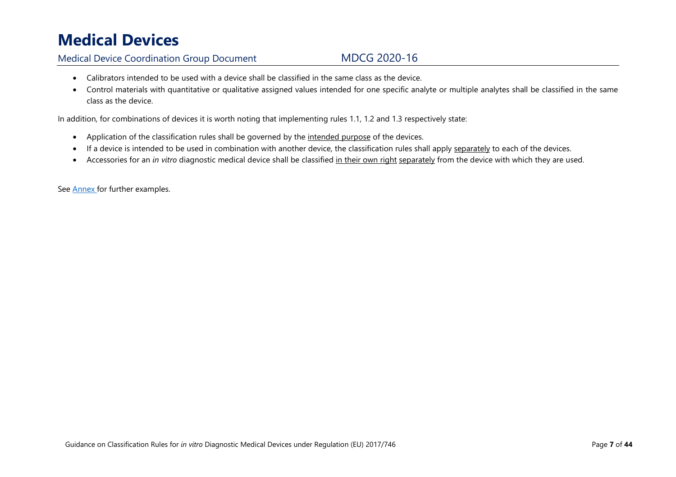## Medical Device Coordination Group Document MDCG 2020-16

- Calibrators intended to be used with a device shall be classified in the same class as the device.
- Control materials with quantitative or qualitative assigned values intended for one specific analyte or multiple analytes shall be classified in the same class as the device.

In addition, for combinations of devices it is worth noting that implementing rules 1.1, 1.2 and 1.3 respectively state:

- Application of the classification rules shall be governed by the intended purpose of the devices.
- •If a device is intended to be used in combination with another device, the classification rules shall apply separately to each of the devices.
- •Accessories for an *in vitro* diagnostic medical device shall be classified in their own right separately from the device with which they are used.

See **Annex** for further examples.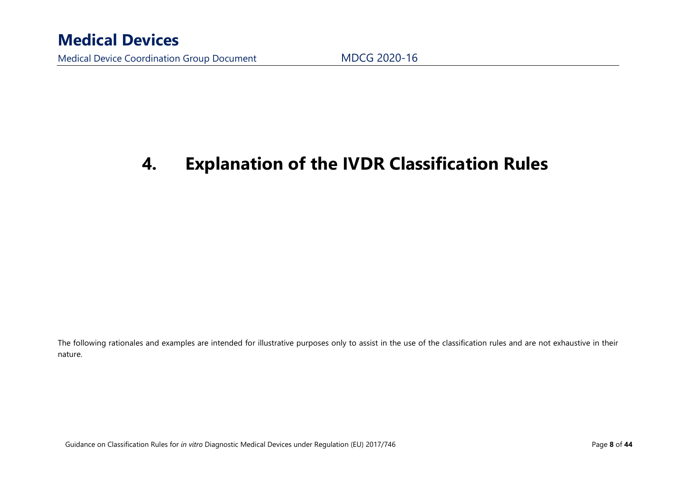Medical Device Coordination Group Document MDCG 2020-16

### **4.Explanation of the IVDR Classification Rules**

The following rationales and examples are intended for illustrative purposes only to assist in the use of the classification rules and are not exhaustive in their nature.

Guidance on Classification Rules for *in vitro* Diagnostic Medical Devices under Regulation (EU) 2017/746 Page 19 **Page 19 and Audio 2018** Page 19 and Audio 2018 Page 19 and Audio 2018 Page 19 and Audio 2018 Page 19 and Au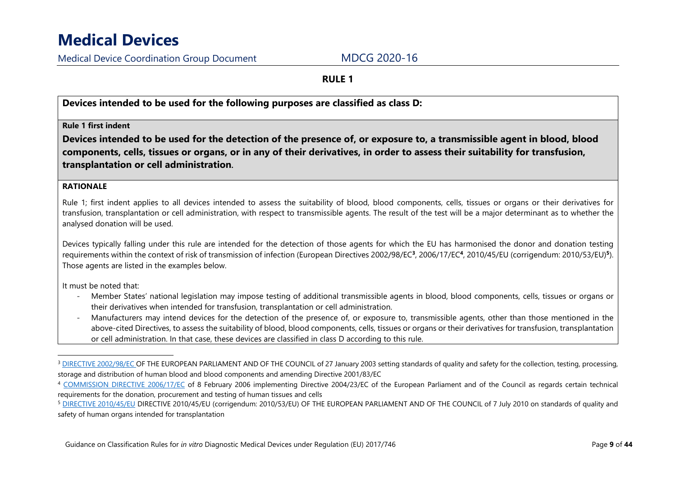Medical Device Coordination Group Document MDCG 2020-16

**RULE 1** 

**Devices intended to be used for the following purposes are classified as class D:** 

### **Rule 1 first indent**

**Devices intended to be used for the detection of the presence of, or exposure to, a transmissible agent in blood, blood components, cells, tissues or organs, or in any of their derivatives, in order to assess their suitability for transfusion, transplantation or cell administration.** 

### **RATIONALE**

Rule 1; first indent applies to all devices intended to assess the suitability of blood, blood components, cells, tissues or organs or their derivatives for transfusion, transplantation or cell administration, with respect to transmissible agents. The result of the test will be a major determinant as to whether the analysed donation will be used.

Devices typically falling under this rule are intended for the detection of those agents for which the EU has harmonised the donor and donation testing requirements within the context of risk of transmission of infection (European Directives 2002/98/EC**<sup>3</sup>**, 2006/17/EC**<sup>4</sup>**, 2010/45/EU (corrigendum: 2010/53/EU)**<sup>5</sup>**). Those agents are listed in the examples below.

It must be noted that:

- - Member States' national legislation may impose testing of additional transmissible agents in blood, blood components, cells, tissues or organs or their derivatives when intended for transfusion, transplantation or cell administration.
- - Manufacturers may intend devices for the detection of the presence of, or exposure to, transmissible agents, other than those mentioned in the above-cited Directives, to assess the suitability of blood, blood components, cells, tissues or organs or their derivatives for transfusion, transplantation or cell administration. In that case, these devices are classified in class D according to this rule.

<sup>&</sup>lt;sup>3</sup> <u>DIRECTIVE 2002/98/EC </u>OF THE EUROPEAN PARLIAMENT AND OF THE COUNCIL of 27 January 2003 setting standards of quality and safety for the collection, testing, processing, storage and distribution of human blood and blood components and amending Directive 2001/83/EC

 $^4$  <u>COMMISSION DIRECTIVE 2006/17/EC</u> of 8 February 2006 implementing Directive 2004/23/EC of the European Parliament and of the Council as regards certain technical requirements for the donation, procurement and testing of human tissues and cells

<sup>&</sup>lt;sup>5</sup> <u>DIRECTIVE 2010/45/EU</u> DIRECTIVE 2010/45/EU (corrigendum: 2010/53/EU) OF THE EUROPEAN PARLIAMENT AND OF THE COUNCIL of 7 July 2010 on standards of quality and safety of human organs intended for transplantation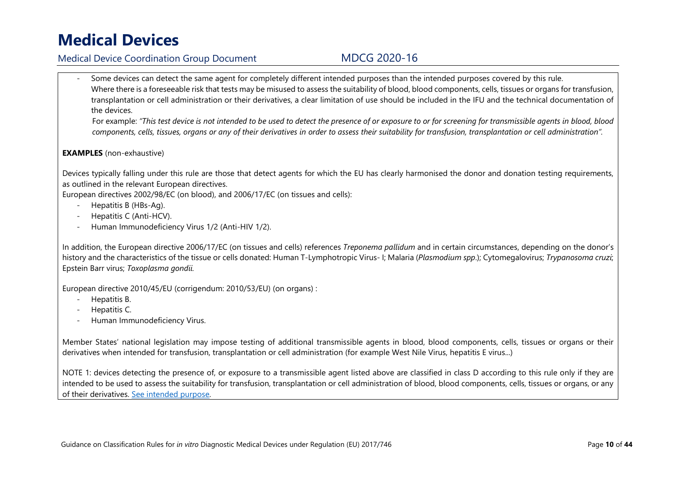## Medical Device Coordination Group Document MDCG 2020-16

- Some devices can detect the same agent for completely different intended purposes than the intended purposes covered by this rule. Where there is a foreseeable risk that tests may be misused to assess the suitability of blood, blood components, cells, tissues or organs for transfusion, transplantation or cell administration or their derivatives, a clear limitation of use should be included in the IFU and the technical documentation of the devices.

For example: *"This test device is not intended to be used to detect the presence of or exposure to or for screening for transmissible agents in blood, blood components, cells, tissues, organs or any of their derivatives in order to assess their suitability for transfusion, transplantation or cell administration".* 

### **EXAMPLES** (non-exhaustive)

Devices typically falling under this rule are those that detect agents for which the EU has clearly harmonised the donor and donation testing requirements, as outlined in the relevant European directives.

European directives 2002/98/EC (on blood), and 2006/17/EC (on tissues and cells):

- Hepatitis B (HBs-Ag).
- Hepatitis C (Anti-HCV).
- -Human Immunodeficiency Virus 1/2 (Anti-HIV 1/2).

In addition, the European directive 2006/17/EC (on tissues and cells) references *Treponema pallidum* and in certain circumstances, depending on the donor's history and the characteristics of the tissue or cells donated: Human T-Lymphotropic Virus- I; Malaria (*Plasmodium spp*.); Cytomegalovirus; *Trypanosoma cruzi*; Epstein Barr virus; *Toxoplasma gondii.*

European directive 2010/45/EU (corrigendum: 2010/53/EU) (on organs) :

- -Hepatitis B.
- Hepatitis C.
- Human Immunodeficiency Virus.

Member States' national legislation may impose testing of additional transmissible agents in blood, blood components, cells, tissues or organs or their derivatives when intended for transfusion, transplantation or cell administration (for example West Nile Virus, hepatitis E virus...)

NOTE 1: devices detecting the presence of, or exposure to a transmissible agent listed above are classified in class D according to this rule only if they are intended to be used to assess the suitability for transfusion, transplantation or cell administration of blood, blood components, cells, tissues or organs, or any of their derivatives. See intended purpose.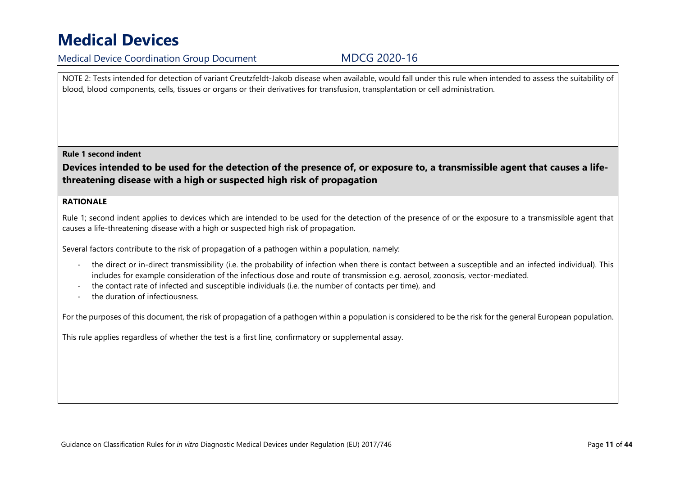## Medical Device Coordination Group Document MDCG 2020-16

NOTE 2: Tests intended for detection of variant Creutzfeldt-Jakob disease when available, would fall under this rule when intended to assess the suitability of blood, blood components, cells, tissues or organs or their derivatives for transfusion, transplantation or cell administration.

### **Rule 1 second indent**

**Devices intended to be used for the detection of the presence of, or exposure to, a transmissible agent that causes a lifethreatening disease with a high or suspected high risk of propagation** 

#### **RATIONALE**

Rule 1; second indent applies to devices which are intended to be used for the detection of the presence of or the exposure to a transmissible agent that causes a life-threatening disease with a high or suspected high risk of propagation.

Several factors contribute to the risk of propagation of a pathogen within a population, namely:

- the direct or in-direct transmissibility (i.e. the probability of infection when there is contact between a susceptible and an infected individual). This includes for example consideration of the infectious dose and route of transmission e.g. aerosol, zoonosis, vector-mediated.
- the contact rate of infected and susceptible individuals (i.e. the number of contacts per time), and
- the duration of infectiousness.

For the purposes of this document, the risk of propagation of a pathogen within a population is considered to be the risk for the general European population.

This rule applies regardless of whether the test is a first line, confirmatory or supplemental assay.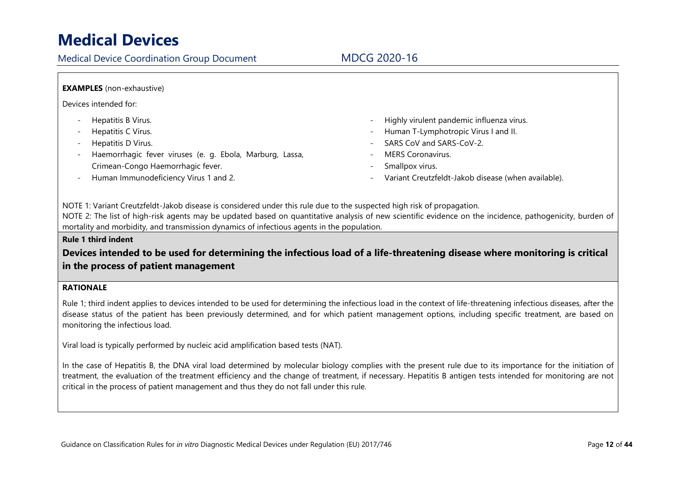Medical Device Coordination Group Document MDCG 2020-16

### **EXAMPLES** (non-exhaustive)

Devices intended for:

- Hepatitis B Virus.
- Hepatitis C Virus.
- Hepatitis D Virus.
- Haemorrhagic fever viruses (e. g. Ebola, Marburg, Lassa, Crimean-Congo Haemorrhagic fever.
- Human Immunodeficiency Virus 1 and 2.
- Highly virulent pandemic influenza virus.
- Human T-Lymphotropic Virus I and II.
- SARS CoV and SARS-CoV-2.
- MERS Coronavirus.
- Smallpox virus.
- Variant Creutzfeldt-Jakob disease (when available).

NOTE 1: Variant Creutzfeldt-Jakob disease is considered under this rule due to the suspected high risk of propagation.

NOTE 2: The list of high-risk agents may be updated based on quantitative analysis of new scientific evidence on the incidence, pathogenicity, burden of mortality and morbidity, and transmission dynamics of infectious agents in the population.

#### **Rule 1 third indent**

**Devices intended to be used for determining the infectious load of a life-threatening disease where monitoring is critical in the process of patient management**

#### **RATIONALE**

Rule 1; third indent applies to devices intended to be used for determining the infectious load in the context of life-threatening infectious diseases, after the disease status of the patient has been previously determined, and for which patient management options, including specific treatment, are based on monitoring the infectious load.

Viral load is typically performed by nucleic acid amplification based tests (NAT).

In the case of Hepatitis B, the DNA viral load determined by molecular biology complies with the present rule due to its importance for the initiation of treatment, the evaluation of the treatment efficiency and the change of treatment, if necessary. Hepatitis B antigen tests intended for monitoring are not critical in the process of patient management and thus they do not fall under this rule.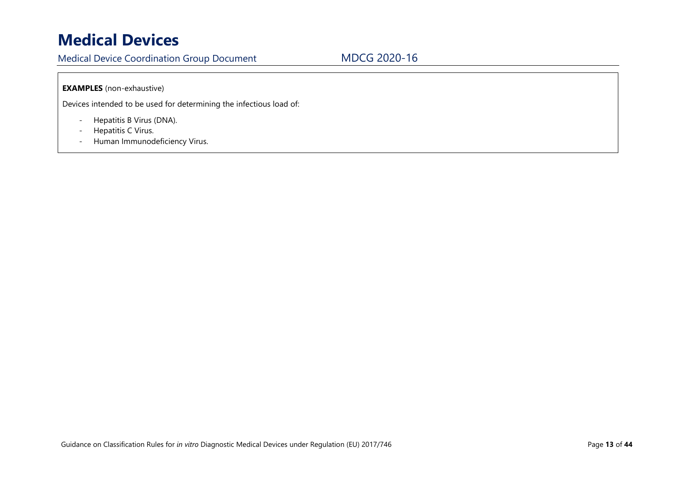Medical Device Coordination Group Document MDCG 2020-16

### **EXAMPLES** (non-exhaustive)

Devices intended to be used for determining the infectious load of:

- -Hepatitis B Virus (DNA).
- -Hepatitis C Virus.
- -Human Immunodeficiency Virus.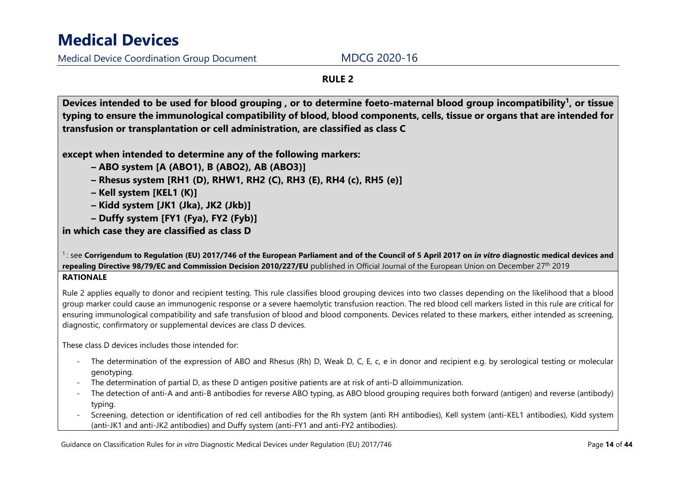Medical Device Coordination Group Document MDCG 2020-16

**RULE 2** 

**Devices intended to be used for blood grouping , or to determine foeto-maternal blood group incompatibility1, or tissue typing to ensure the immunological compatibility of blood, blood components, cells, tissue or organs that are intended for transfusion or transplantation or cell administration, are classified as class C** 

**except when intended to determine any of the following markers:**

- **ABO system [A (ABO1), B (ABO2), AB (ABO3)]**
- **Rhesus system [RH1 (D), RHW1, RH2 (C), RH3 (E), RH4 (c), RH5 (e)]**
- **Kell system [KEL1 (K)]**
- **Kidd system [JK1 (Jka), JK2 (Jkb)]**
- **Duffy system [FY1 (Fya), FY2 (Fyb)]**
- **in which case they are classified as class D**

<sup>1</sup>: see Corrigendum to Regulation (EU) 2017/746 of the European Parliament and of the Council of 5 April 2017 on *in vitro* diagnostic medical devices and **repealing Directive 98/79/EC and Commission Decision 2010/227/EU** published in Official Journal of the European Union on December 27th 2019 **RATIONALE** 

Rule 2 applies equally to donor and recipient testing. This rule classifies blood grouping devices into two classes depending on the likelihood that a blood group marker could cause an immunogenic response or a severe haemolytic transfusion reaction. The red blood cell markers listed in this rule are critical for ensuring immunological compatibility and safe transfusion of blood and blood components. Devices related to these markers, either intended as screening, diagnostic, confirmatory or supplemental devices are class D devices.

These class D devices includes those intended for:

- - The determination of the expression of ABO and Rhesus (Rh) D, Weak D, C, E, c, e in donor and recipient e.g. by serological testing or molecular genotyping.
- The determination of partial D, as these D antigen positive patients are at risk of anti-D alloimmunization.
- The detection of anti-A and anti-B antibodies for reverse ABO typing, as ABO blood grouping requires both forward (antigen) and reverse (antibody) typing.
- - Screening, detection or identification of red cell antibodies for the Rh system (anti RH antibodies), Kell system (anti-KEL1 antibodies), Kidd system (anti-JK1 and anti-JK2 antibodies) and Duffy system (anti-FY1 and anti-FY2 antibodies).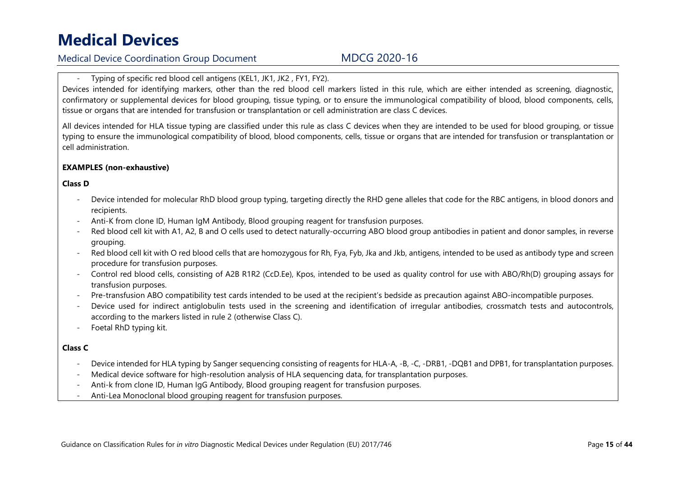## Medical Device Coordination Group Document MDCG 2020-16

- Typing of specific red blood cell antigens (KEL1, JK1, JK2 , FY1, FY2).

Devices intended for identifying markers, other than the red blood cell markers listed in this rule, which are either intended as screening, diagnostic, confirmatory or supplemental devices for blood grouping, tissue typing, or to ensure the immunological compatibility of blood, blood components, cells, tissue or organs that are intended for transfusion or transplantation or cell administration are class C devices.

All devices intended for HLA tissue typing are classified under this rule as class C devices when they are intended to be used for blood grouping, or tissue typing to ensure the immunological compatibility of blood, blood components, cells, tissue or organs that are intended for transfusion or transplantation or cell administration.

### **EXAMPLES (non-exhaustive)**

**Class D** 

- - Device intended for molecular RhD blood group typing, targeting directly the RHD gene alleles that code for the RBC antigens, in blood donors and recipients.
- -Anti-K from clone ID, Human IgM Antibody, Blood grouping reagent for transfusion purposes.
- - Red blood cell kit with A1, A2, B and O cells used to detect naturally-occurring ABO blood group antibodies in patient and donor samples, in reverse grouping.
- - Red blood cell kit with O red blood cells that are homozygous for Rh, Fya, Fyb, Jka and Jkb, antigens, intended to be used as antibody type and screen procedure for transfusion purposes.
- Control red blood cells, consisting of A2B R1R2 (CcD.Ee), Kpos, intended to be used as quality control for use with ABO/Rh(D) grouping assays for transfusion purposes.
- Pre-transfusion ABO compatibility test cards intended to be used at the recipient's bedside as precaution against ABO-incompatible purposes.
- - Device used for indirect antiglobulin tests used in the screening and identification of irregular antibodies, crossmatch tests and autocontrols, according to the markers listed in rule 2 (otherwise Class C).
- Foetal RhD typing kit.

### **Class C**

- -Device intended for HLA typing by Sanger sequencing consisting of reagents for HLA-A, -B, -C, -DRB1, -DQB1 and DPB1, for transplantation purposes.
- Medical device software for high-resolution analysis of HLA sequencing data, for transplantation purposes.
- -Anti-k from clone ID, Human IgG Antibody, Blood grouping reagent for transfusion purposes.
- -Anti-Lea Monoclonal blood grouping reagent for transfusion purposes.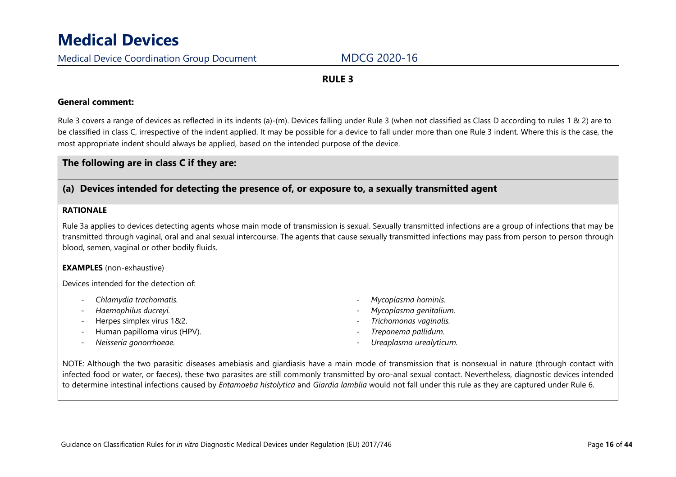### **RULE 3**

### **General comment:**

Rule 3 covers a range of devices as reflected in its indents (a)-(m). Devices falling under Rule 3 (when not classified as Class D according to rules 1 & 2) are to be classified in class C, irrespective of the indent applied. It may be possible for a device to fall under more than one Rule 3 indent. Where this is the case, the most appropriate indent should always be applied, based on the intended purpose of the device.

### **The following are in class C if they are:**

### **(a) Devices intended for detecting the presence of, or exposure to, a sexually transmitted agent**

### **RATIONALE**

Rule 3a applies to devices detecting agents whose main mode of transmission is sexual. Sexually transmitted infections are a group of infections that may be transmitted through vaginal, oral and anal sexual intercourse. The agents that cause sexually transmitted infections may pass from person to person through blood, semen, vaginal or other bodily fluids.

### **EXAMPLES** (non-exhaustive)

Devices intended for the detection of:

- *Chlamydia trachomatis.*
- *Haemophilus ducreyi.*
- Herpes simplex virus 1&2.
- Human papilloma virus (HPV).
- *Neisseria gonorrhoeae.*
- *Mycoplasma hominis.*
- *Mycoplasma genitalium.*
- *Trichomonas vaginalis.*
- *Treponema pallidum.*
- *Ureaplasma urealyticum.*

NOTE: Although the two parasitic diseases amebiasis and giardiasis have a main mode of transmission that is nonsexual in nature (through contact with infected food or water, or faeces), these two parasites are still commonly transmitted by oro-anal sexual contact. Nevertheless, diagnostic devices intended to determine intestinal infections caused by *Entamoeba histolytica* and *Giardia lamblia* would not fall under this rule as they are captured under Rule 6.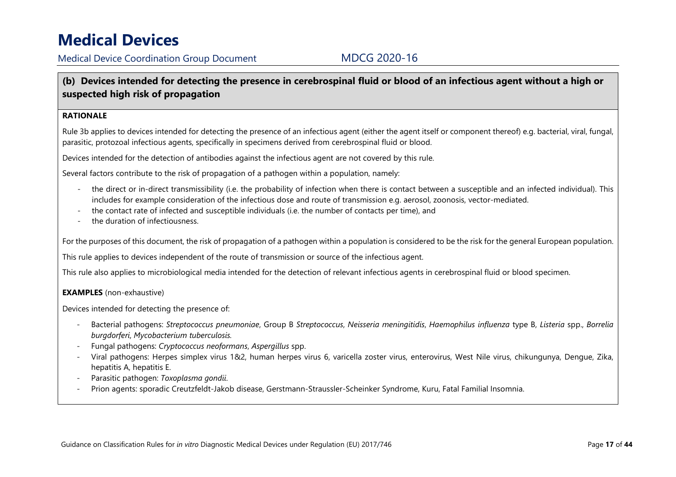**(b) Devices intended for detecting the presence in cerebrospinal fluid or blood of an infectious agent without a high or suspected high risk of propagation** 

### **RATIONALE**

Rule 3b applies to devices intended for detecting the presence of an infectious agent (either the agent itself or component thereof) e.g. bacterial, viral, fungal, parasitic, protozoal infectious agents, specifically in specimens derived from cerebrospinal fluid or blood.

Devices intended for the detection of antibodies against the infectious agent are not covered by this rule.

Several factors contribute to the risk of propagation of a pathogen within a population, namely:

- the direct or in-direct transmissibility (i.e. the probability of infection when there is contact between a susceptible and an infected individual). This includes for example consideration of the infectious dose and route of transmission e.g. aerosol, zoonosis, vector-mediated.
- the contact rate of infected and susceptible individuals (i.e. the number of contacts per time), and
- the duration of infectiousness.

For the purposes of this document, the risk of propagation of a pathogen within a population is considered to be the risk for the general European population.

This rule applies to devices independent of the route of transmission or source of the infectious agent.

This rule also applies to microbiological media intended for the detection of relevant infectious agents in cerebrospinal fluid or blood specimen.

### **EXAMPLES** (non-exhaustive)

Devices intended for detecting the presence of:

- - Bacterial pathogens: *Streptococcus pneumoniae*, Group B *Streptococcus*, *Neisseria meningitidis*, *Haemophilus influenza* type B, *Listeria* spp., *Borrelia burgdorferi*, *Mycobacterium tuberculosis.*
- -Fungal pathogens: *Cryptococcus neoformans*, *Aspergillus* spp.
- Viral pathogens: Herpes simplex virus 1&2, human herpes virus 6, varicella zoster virus, enterovirus, West Nile virus, chikungunya, Dengue, Zika, hepatitis A, hepatitis E.
- Parasitic pathogen: *Toxoplasma gondii*.
- Prion agents: sporadic Creutzfeldt-Jakob disease, Gerstmann-Straussler-Scheinker Syndrome, Kuru, Fatal Familial Insomnia.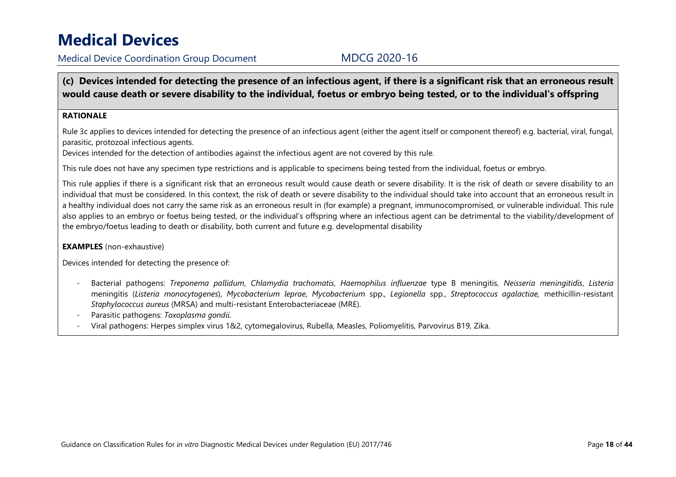Medical Device Coordination Group Document MDCG 2020-16

### **(c) Devices intended for detecting the presence of an infectious agent, if there is a significant risk that an erroneous result would cause death or severe disability to the individual, foetus or embryo being tested, or to the individual's offspring**

### **RATIONALE**

Rule 3c applies to devices intended for detecting the presence of an infectious agent (either the agent itself or component thereof) e.g. bacterial, viral, fungal, parasitic, protozoal infectious agents.

Devices intended for the detection of antibodies against the infectious agent are not covered by this rule.

This rule does not have any specimen type restrictions and is applicable to specimens being tested from the individual, foetus or embryo.

This rule applies if there is a significant risk that an erroneous result would cause death or severe disability. It is the risk of death or severe disability to an individual that must be considered. In this context, the risk of death or severe disability to the individual should take into account that an erroneous result in a healthy individual does not carry the same risk as an erroneous result in (for example) a pregnant, immunocompromised, or vulnerable individual. This rule also applies to an embryo or foetus being tested, or the individual's offspring where an infectious agent can be detrimental to the viability/development of the embryo/foetus leading to death or disability, both current and future e.g. developmental disability

### **EXAMPLES** (non-exhaustive)

Devices intended for detecting the presence of:

- - Bacterial pathogens: *Treponema pallidum*, *Chlamydia trachomatis*, *Haemophilus influenzae* type B meningitis, *Neisseria meningitidis*, *Listeria*  meningitis (*Listeria monocytogenes*), *Mycobacterium leprae*, *Mycobacterium* spp., *Legionella* spp., *Streptococcus agalactiae,* methicillin-resistant *Staphylococcus aureus* (MRSA) and multi-resistant Enterobacteriaceae (MRE).
- Parasitic pathogens: *Toxoplasma gondii*.
- Viral pathogens: Herpes simplex virus 1&2, cytomegalovirus, Rubella, Measles, Poliomyelitis, Parvovirus B19, Zika.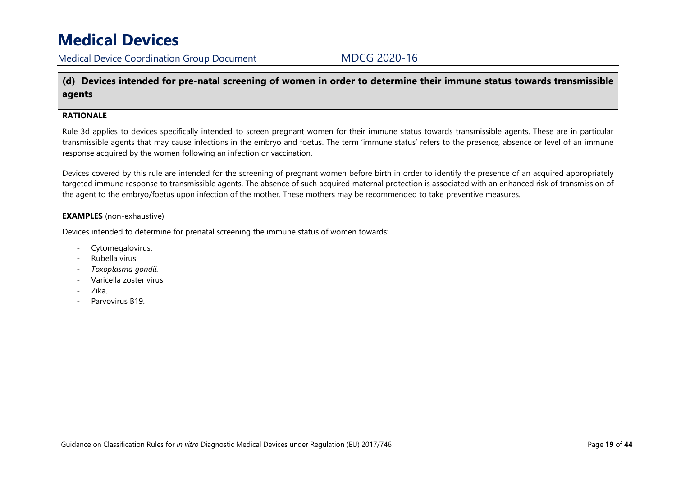**(d) Devices intended for pre-natal screening of women in order to determine their immune status towards transmissible agents** 

### **RATIONALE**

Rule 3d applies to devices specifically intended to screen pregnant women for their immune status towards transmissible agents. These are in particular transmissible agents that may cause infections in the embryo and foetus. The term 'immune status' refers to the presence, absence or level of an immune response acquired by the women following an infection or vaccination.

Devices covered by this rule are intended for the screening of pregnant women before birth in order to identify the presence of an acquired appropriately targeted immune response to transmissible agents. The absence of such acquired maternal protection is associated with an enhanced risk of transmission of the agent to the embryo/foetus upon infection of the mother. These mothers may be recommended to take preventive measures.

### **EXAMPLES** (non-exhaustive)

Devices intended to determine for prenatal screening the immune status of women towards:

- Cytomegalovirus.
- Rubella virus.
- *Toxoplasma gondii.*
- Varicella zoster virus.
- Zika.
- Parvovirus B19.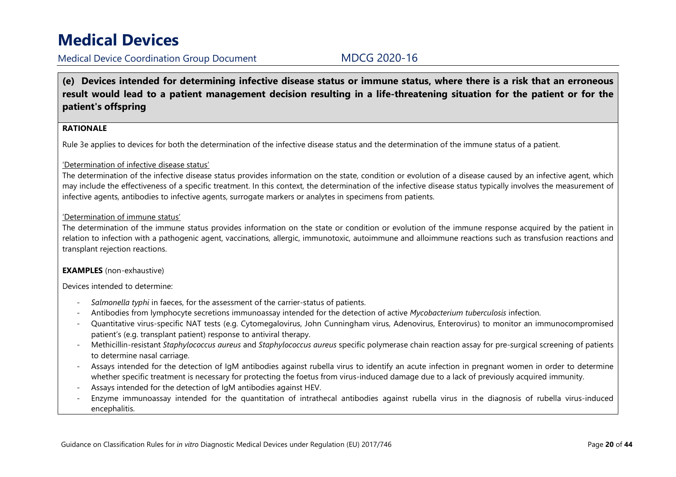### Medical Device Coordination Group Document MDCG 2020-16

**(e) Devices intended for determining infective disease status or immune status, where there is a risk that an erroneous result would lead to a patient management decision resulting in a life-threatening situation for the patient or for the patient's offspring** 

#### **RATIONALE**

Rule 3e applies to devices for both the determination of the infective disease status and the determination of the immune status of a patient.

#### 'Determination of infective disease status'

The determination of the infective disease status provides information on the state, condition or evolution of a disease caused by an infective agent, which may include the effectiveness of a specific treatment. In this context, the determination of the infective disease status typically involves the measurement of infective agents, antibodies to infective agents, surrogate markers or analytes in specimens from patients.

#### 'Determination of immune status'

The determination of the immune status provides information on the state or condition or evolution of the immune response acquired by the patient in relation to infection with a pathogenic agent, vaccinations, allergic, immunotoxic, autoimmune and alloimmune reactions such as transfusion reactions and transplant rejection reactions.

#### **EXAMPLES** (non-exhaustive)

Devices intended to determine:

- -*Salmonella typhi* in faeces, for the assessment of the carrier-status of patients.
- Antibodies from lymphocyte secretions immunoassay intended for the detection of active *Mycobacterium tuberculosis* infection.
- Quantitative virus-specific NAT tests (e.g. Cytomegalovirus, John Cunningham virus, Adenovirus, Enterovirus) to monitor an immunocompromised patient's (e.g. transplant patient) response to antiviral therapy.
- - Methicillin-resistant *Staphylococcus aureus* and *Staphylococcus aureus* specific polymerase chain reaction assay for pre-surgical screening of patients to determine nasal carriage.
- Assays intended for the detection of IgM antibodies against rubella virus to identify an acute infection in pregnant women in order to determine whether specific treatment is necessary for protecting the foetus from virus-induced damage due to a lack of previously acquired immunity.
- Assays intended for the detection of IgM antibodies against HEV.
- - Enzyme immunoassay intended for the quantitation of intrathecal antibodies against rubella virus in the diagnosis of rubella virus-induced encephalitis.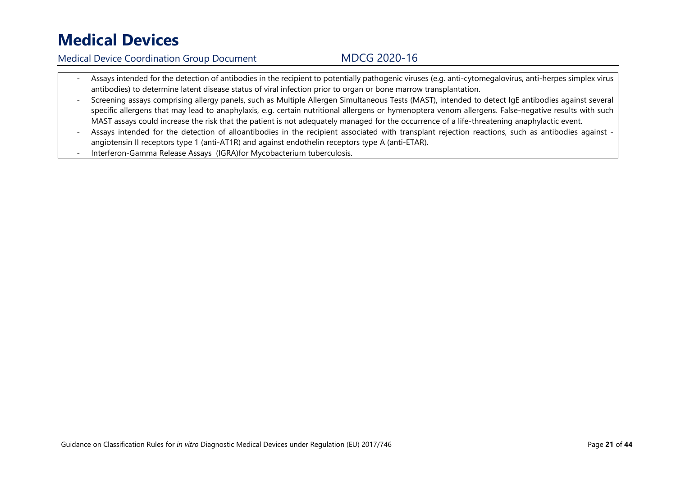## Medical Device Coordination Group Document MDCG 2020-16

- - Assays intended for the detection of antibodies in the recipient to potentially pathogenic viruses (e.g. anti-cytomegalovirus, anti-herpes simplex virus antibodies) to determine latent disease status of viral infection prior to organ or bone marrow transplantation.
- - Screening assays comprising allergy panels, such as Multiple Allergen Simultaneous Tests (MAST), intended to detect IgE antibodies against several specific allergens that may lead to anaphylaxis, e.g. certain nutritional allergens or hymenoptera venom allergens. False-negative results with such MAST assays could increase the risk that the patient is not adequately managed for the occurrence of a life-threatening anaphylactic event.
- -Assays intended for the detection of alloantibodies in the recipient associated with transplant rejection reactions, such as antibodies against angiotensin II receptors type 1 (anti-AT1R) and against endothelin receptors type A (anti-ETAR).
- -Interferon-Gamma Release Assays (IGRA)for Mycobacterium tuberculosis.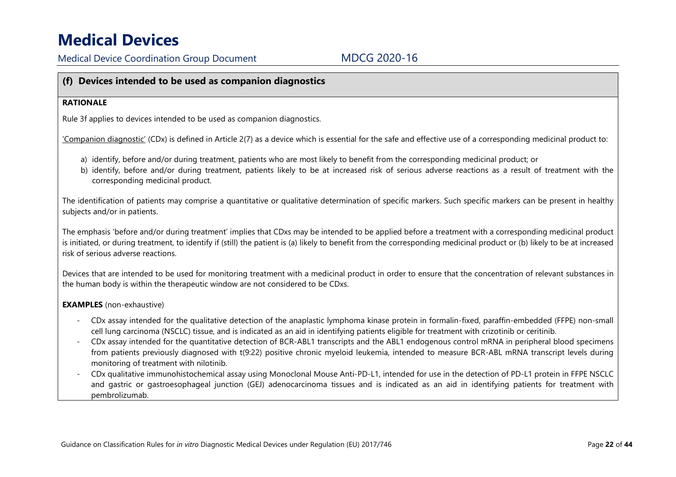Medical Device Coordination Group Document MDCG 2020-16

### **(f) Devices intended to be used as companion diagnostics**

### **RATIONALE**

Rule 3f applies to devices intended to be used as companion diagnostics.

'Companion diagnostic' (CDx) is defined in Article 2(7) as a device which is essential for the safe and effective use of a corresponding medicinal product to:

- a) identify, before and/or during treatment, patients who are most likely to benefit from the corresponding medicinal product; or
- b) identify, before and/or during treatment, patients likely to be at increased risk of serious adverse reactions as a result of treatment with the corresponding medicinal product.

The identification of patients may comprise a quantitative or qualitative determination of specific markers. Such specific markers can be present in healthy subjects and/or in patients.

The emphasis 'before and/or during treatment' implies that CDxs may be intended to be applied before a treatment with a corresponding medicinal product is initiated, or during treatment, to identify if (still) the patient is (a) likely to benefit from the corresponding medicinal product or (b) likely to be at increased risk of serious adverse reactions.

Devices that are intended to be used for monitoring treatment with a medicinal product in order to ensure that the concentration of relevant substances in the human body is within the therapeutic window are not considered to be CDxs.

#### **EXAMPLES** (non-exhaustive)

- - CDx assay intended for the qualitative detection of the anaplastic lymphoma kinase protein in formalin-fixed, paraffin-embedded (FFPE) non-small cell lung carcinoma (NSCLC) tissue, and is indicated as an aid in identifying patients eligible for treatment with crizotinib or ceritinib.
- - CDx assay intended for the quantitative detection of BCR-ABL1 transcripts and the ABL1 endogenous control mRNA in peripheral blood specimens from patients previously diagnosed with t(9:22) positive chronic myeloid leukemia, intended to measure BCR-ABL mRNA transcript levels during monitoring of treatment with nilotinib.
- - CDx qualitative immunohistochemical assay using Monoclonal Mouse Anti-PD-L1, intended for use in the detection of PD-L1 protein in FFPE NSCLC and gastric or gastroesophageal junction (GEJ) adenocarcinoma tissues and is indicated as an aid in identifying patients for treatment with pembrolizumab.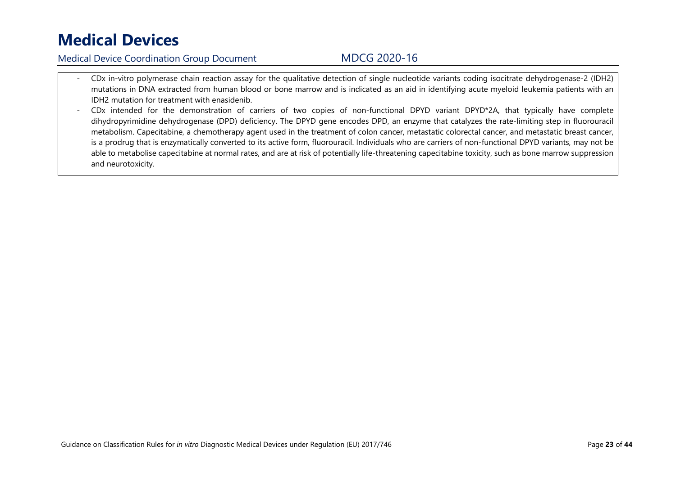## Medical Device Coordination Group Document MDCG 2020-16

- - CDx in-vitro polymerase chain reaction assay for the qualitative detection of single nucleotide variants coding isocitrate dehydrogenase-2 (IDH2) mutations in DNA extracted from human blood or bone marrow and is indicated as an aid in identifying acute myeloid leukemia patients with an IDH2 mutation for treatment with enasidenib.
- - CDx intended for the demonstration of carriers of two copies of non-functional DPYD variant DPYD\*2A, that typically have complete dihydropyrimidine dehydrogenase (DPD) deficiency. The DPYD gene encodes DPD, an enzyme that catalyzes the rate-limiting step in fluorouracil metabolism. Capecitabine, a chemotherapy agent used in the treatment of colon cancer, metastatic colorectal cancer, and metastatic breast cancer, is a prodrug that is enzymatically converted to its active form, fluorouracil. Individuals who are carriers of non-functional DPYD variants, may not be able to metabolise capecitabine at normal rates, and are at risk of potentially life-threatening capecitabine toxicity, such as bone marrow suppression and neurotoxicity.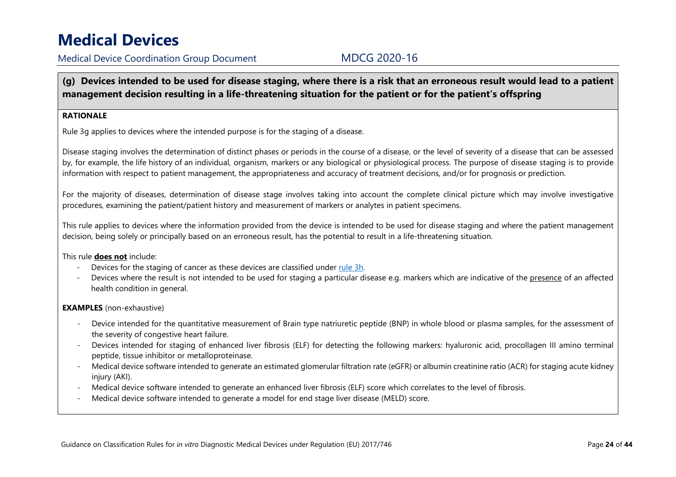### **(g) Devices intended to be used for disease staging, where there is a risk that an erroneous result would lead to a patient management decision resulting in a life-threatening situation for the patient or for the patient's offspring**

### **RATIONALE**

Rule 3g applies to devices where the intended purpose is for the staging of a disease.

Disease staging involves the determination of distinct phases or periods in the course of a disease, or the level of severity of a disease that can be assessed by, for example, the life history of an individual, organism, markers or any biological or physiological process. The purpose of disease staging is to provide information with respect to patient management, the appropriateness and accuracy of treatment decisions, and/or for prognosis or prediction.

For the majority of diseases, determination of disease stage involves taking into account the complete clinical picture which may involve investigative procedures, examining the patient/patient history and measurement of markers or analytes in patient specimens.

This rule applies to devices where the information provided from the device is intended to be used for disease staging and where the patient management decision, being solely or principally based on an erroneous result, has the potential to result in a life-threatening situation.

This rule **does not** include:

- -Devices for the staging of cancer as these devices are classified under rule 3h.
- - Devices where the result is not intended to be used for staging a particular disease e.g. markers which are indicative of the presence of an affected health condition in general.

#### **EXAMPLES** (non-exhaustive)

- Device intended for the quantitative measurement of Brain type natriuretic peptide (BNP) in whole blood or plasma samples, for the assessment of the severity of congestive heart failure.
- Devices intended for staging of enhanced liver fibrosis (ELF) for detecting the following markers: hyaluronic acid, procollagen III amino terminal peptide, tissue inhibitor or metalloproteinase.
- Medical device software intended to generate an estimated glomerular filtration rate (eGFR) or albumin creatinine ratio (ACR) for staging acute kidney injury (AKI).
- Medical device software intended to generate an enhanced liver fibrosis (ELF) score which correlates to the level of fibrosis.
- Medical device software intended to generate a model for end stage liver disease (MELD) score.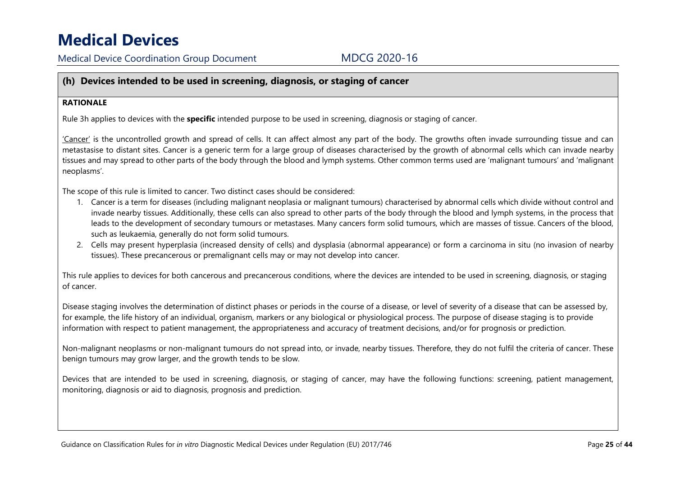Medical Device Coordination Group Document MDCG 2020-16

### **(h) Devices intended to be used in screening, diagnosis, or staging of cancer**

### **RATIONALE**

Rule 3h applies to devices with the **specific** intended purpose to be used in screening, diagnosis or staging of cancer.

'Cancer' is the uncontrolled growth and spread of cells. It can affect almost any part of the body. The growths often invade surrounding tissue and can metastasise to distant sites. Cancer is a generic term for a large group of diseases characterised by the growth of abnormal cells which can invade nearby tissues and may spread to other parts of the body through the blood and lymph systems. Other common terms used are 'malignant tumours' and 'malignant neoplasms'.

The scope of this rule is limited to cancer. Two distinct cases should be considered:

- 1. Cancer is a term for diseases (including malignant neoplasia or malignant tumours) characterised by abnormal cells which divide without control and invade nearby tissues. Additionally, these cells can also spread to other parts of the body through the blood and lymph systems, in the process that leads to the development of secondary tumours or metastases. Many cancers form solid tumours, which are masses of tissue. Cancers of the blood, such as leukaemia, generally do not form solid tumours.
- 2. Cells may present hyperplasia (increased density of cells) and dysplasia (abnormal appearance) or form a carcinoma in situ (no invasion of nearby tissues). These precancerous or premalignant cells may or may not develop into cancer.

This rule applies to devices for both cancerous and precancerous conditions, where the devices are intended to be used in screening, diagnosis, or staging of cancer.

Disease staging involves the determination of distinct phases or periods in the course of a disease, or level of severity of a disease that can be assessed by, for example, the life history of an individual, organism, markers or any biological or physiological process. The purpose of disease staging is to provide information with respect to patient management, the appropriateness and accuracy of treatment decisions, and/or for prognosis or prediction.

Non-malignant neoplasms or non-malignant tumours do not spread into, or invade, nearby tissues. Therefore, they do not fulfil the criteria of cancer. These benign tumours may grow larger, and the growth tends to be slow.

Devices that are intended to be used in screening, diagnosis, or staging of cancer, may have the following functions: screening, patient management, monitoring, diagnosis or aid to diagnosis, prognosis and prediction.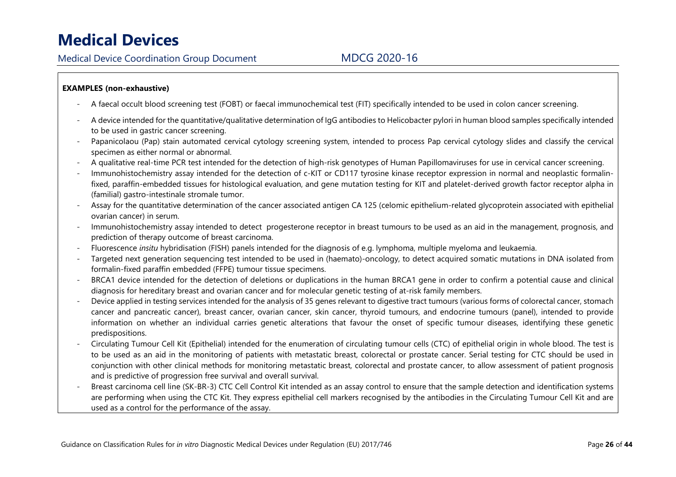Medical Device Coordination Group Document MDCG 2020-16

### **EXAMPLES (non-exhaustive)**

- A faecal occult blood screening test (FOBT) or faecal immunochemical test (FIT) specifically intended to be used in colon cancer screening.
- A device intended for the quantitative/qualitative determination of IgG antibodies to Helicobacter pylori in human blood samples specifically intended to be used in gastric cancer screening.
- - Papanicolaou (Pap) stain automated cervical cytology screening system, intended to process Pap cervical cytology slides and classify the cervical specimen as either normal or abnormal.
- -A qualitative real-time PCR test intended for the detection of high-risk genotypes of Human Papillomaviruses for use in cervical cancer screening.
- Immunohistochemistry assay intended for the detection of c-KIT or CD117 tyrosine kinase receptor expression in normal and neoplastic formalinfixed, paraffin-embedded tissues for histological evaluation, and gene mutation testing for KIT and platelet-derived growth factor receptor alpha in (familial) gastro-intestinale stromale tumor.
- - Assay for the quantitative determination of the cancer associated antigen CA 125 (celomic epithelium-related glycoprotein associated with epithelial ovarian cancer) in serum.
- - Immunohistochemistry assay intended to detect progesterone receptor in breast tumours to be used as an aid in the management, prognosis, and prediction of therapy outcome of breast carcinoma.
- -Fluorescence *insitu* hybridisation (FISH) panels intended for the diagnosis of e.g. lymphoma, multiple myeloma and leukaemia.
- - Targeted next generation sequencing test intended to be used in (haemato)-oncology, to detect acquired somatic mutations in DNA isolated from formalin-fixed paraffin embedded (FFPE) tumour tissue specimens.
- - BRCA1 device intended for the detection of deletions or duplications in the human BRCA1 gene in order to confirm a potential cause and clinical diagnosis for hereditary breast and ovarian cancer and for molecular genetic testing of at-risk family members.
- - Device applied in testing services intended for the analysis of 35 genes relevant to digestive tract tumours (various forms of colorectal cancer, stomach cancer and pancreatic cancer), breast cancer, ovarian cancer, skin cancer, thyroid tumours, and endocrine tumours (panel), intended to provide information on whether an individual carries genetic alterations that favour the onset of specific tumour diseases, identifying these genetic predispositions.
- - Circulating Tumour Cell Kit (Epithelial) intended for the enumeration of circulating tumour cells (CTC) of epithelial origin in whole blood. The test is to be used as an aid in the monitoring of patients with metastatic breast, colorectal or prostate cancer. Serial testing for CTC should be used in conjunction with other clinical methods for monitoring metastatic breast, colorectal and prostate cancer, to allow assessment of patient prognosis and is predictive of progression free survival and overall survival.
- - Breast carcinoma cell line (SK-BR-3) CTC Cell Control Kit intended as an assay control to ensure that the sample detection and identification systems are performing when using the CTC Kit. They express epithelial cell markers recognised by the antibodies in the Circulating Tumour Cell Kit and are used as a control for the performance of the assay.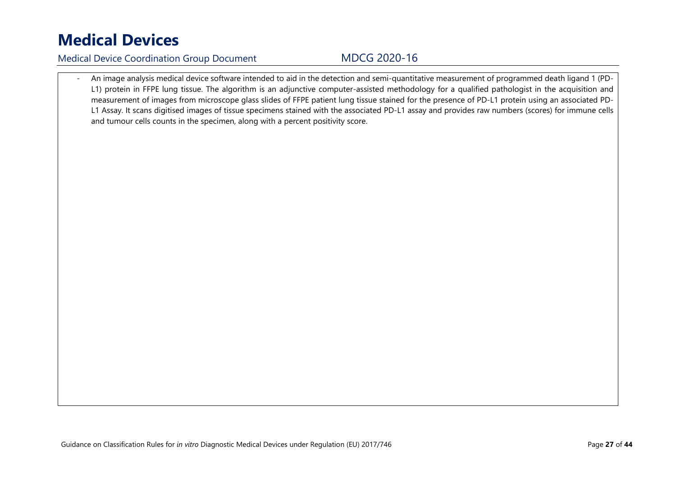Medical Device Coordination Group Document MDCG 2020-16

- An image analysis medical device software intended to aid in the detection and semi-quantitative measurement of programmed death ligand 1 (PD-L1) protein in FFPE lung tissue. The algorithm is an adjunctive computer-assisted methodology for a qualified pathologist in the acquisition and measurement of images from microscope glass slides of FFPE patient lung tissue stained for the presence of PD-L1 protein using an associated PD-L1 Assay. It scans digitised images of tissue specimens stained with the associated PD-L1 assay and provides raw numbers (scores) for immune cells and tumour cells counts in the specimen, along with a percent positivity score.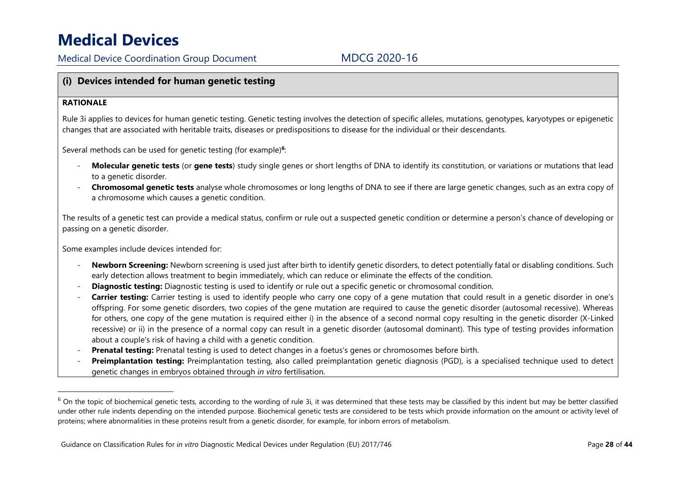Medical Device Coordination Group Document MDCG 2020-16

### **(i) Devices intended for human genetic testing**

### **RATIONALE**

Rule 3i applies to devices for human genetic testing. Genetic testing involves the detection of specific alleles, mutations, genotypes, karyotypes or epigenetic changes that are associated with heritable traits, diseases or predispositions to disease for the individual or their descendants.

Several methods can be used for genetic testing (for example)**<sup>6</sup>**:

- - **Molecular genetic tests** (or **gene tests**) study single genes or short lengths of DNA to identify its constitution, or variations or mutations that lead to a genetic disorder.
- - **Chromosomal genetic tests** analyse whole chromosomes or long lengths of DNA to see if there are large genetic changes, such as an extra copy of a chromosome which causes a genetic condition.

The results of a genetic test can provide a medical status, confirm or rule out a suspected genetic condition or determine a person's chance of developing or passing on a genetic disorder.

Some examples include devices intended for:

- **Newborn Screening:** Newborn screening is used just after birth to identify genetic disorders, to detect potentially fatal or disabling conditions. Such early detection allows treatment to begin immediately, which can reduce or eliminate the effects of the condition.
- **Diagnostic testing:** Diagnostic testing is used to identify or rule out a specific genetic or chromosomal condition.
- -**Carrier testing:** Carrier testing is used to identify people who carry one copy of a gene mutation that could result in a genetic disorder in one's offspring. For some genetic disorders, two copies of the gene mutation are required to cause the genetic disorder (autosomal recessive). Whereas for others, one copy of the gene mutation is required either i) in the absence of a second normal copy resulting in the genetic disorder (X-Linked recessive) or ii) in the presence of a normal copy can result in a genetic disorder (autosomal dominant). This type of testing provides information about a couple's risk of having a child with a genetic condition.
- -**Prenatal testing:** Prenatal testing is used to detect changes in a foetus's genes or chromosomes before birth.
- Preimplantation testing: Preimplantation testing, also called preimplantation genetic diagnosis (PGD), is a specialised technique used to detect genetic changes in embryos obtained through *in vitro* fertilisation.

 $^6$  On the topic of biochemical genetic tests, according to the wording of rule 3i, it was determined that these tests may be classified by this indent but may be better classified under other rule indents depending on the intended purpose. Biochemical genetic tests are considered to be tests which provide information on the amount or activity level of proteins; where abnormalities in these proteins result from a genetic disorder, for example, for inborn errors of metabolism.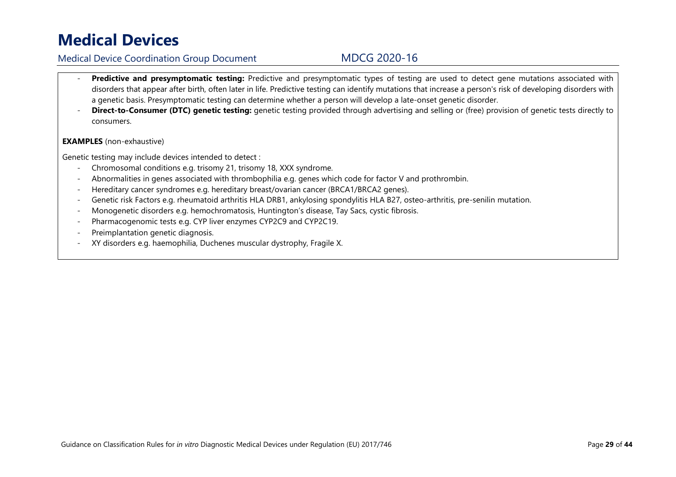## Medical Device Coordination Group Document MDCG 2020-16

- **Predictive and presymptomatic testing:** Predictive and presymptomatic types of testing are used to detect gene mutations associated with disorders that appear after birth, often later in life. Predictive testing can identify mutations that increase a person's risk of developing disorders with a genetic basis. Presymptomatic testing can determine whether a person will develop a late-onset genetic disorder.
- - **Direct-to-Consumer (DTC) genetic testing:** genetic testing provided through advertising and selling or (free) provision of genetic tests directly to consumers.

### **EXAMPLES** (non-exhaustive)

Genetic testing may include devices intended to detect :

- Chromosomal conditions e.g. trisomy 21, trisomy 18, XXX syndrome.
- -Abnormalities in genes associated with thrombophilia e.g. genes which code for factor V and prothrombin.
- Hereditary cancer syndromes e.g. hereditary breast/ovarian cancer (BRCA1/BRCA2 genes).
- -Genetic risk Factors e.g. rheumatoid arthritis HLA DRB1, ankylosing spondylitis HLA B27, osteo-arthritis, pre-senilin mutation.
- -Monogenetic disorders e.g. hemochromatosis, Huntington's disease, Tay Sacs, cystic fibrosis.
- Pharmacogenomic tests e.g. CYP liver enzymes CYP2C9 and CYP2C19.
- -Preimplantation genetic diagnosis.
- XY disorders e.g. haemophilia, Duchenes muscular dystrophy, Fragile X.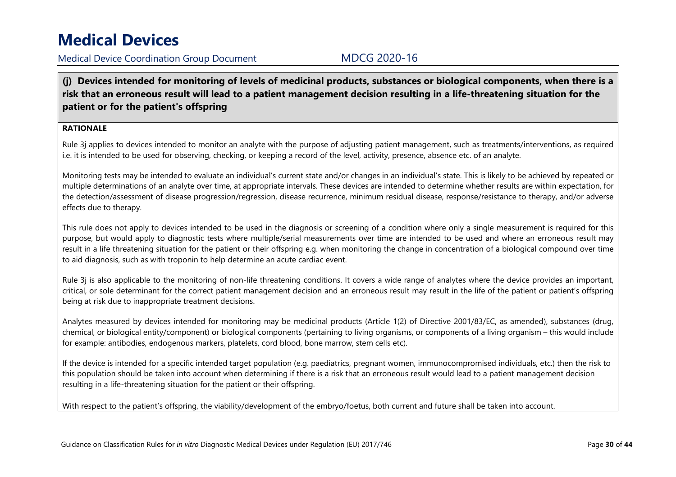Medical Device Coordination Group Document MDCG 2020-16

**(j) Devices intended for monitoring of levels of medicinal products, substances or biological components, when there is a risk that an erroneous result will lead to a patient management decision resulting in a life-threatening situation for the patient or for the patient's offspring** 

### **RATIONALE**

Rule 3j applies to devices intended to monitor an analyte with the purpose of adjusting patient management, such as treatments/interventions, as required i.e. it is intended to be used for observing, checking, or keeping a record of the level, activity, presence, absence etc. of an analyte.

Monitoring tests may be intended to evaluate an individual's current state and/or changes in an individual's state. This is likely to be achieved by repeated or multiple determinations of an analyte over time, at appropriate intervals. These devices are intended to determine whether results are within expectation, for the detection/assessment of disease progression/regression, disease recurrence, minimum residual disease, response/resistance to therapy, and/or adverse effects due to therapy.

This rule does not apply to devices intended to be used in the diagnosis or screening of a condition where only a single measurement is required for this purpose, but would apply to diagnostic tests where multiple/serial measurements over time are intended to be used and where an erroneous result may result in a life threatening situation for the patient or their offspring e.g. when monitoring the change in concentration of a biological compound over time to aid diagnosis, such as with troponin to help determine an acute cardiac event.

Rule 3j is also applicable to the monitoring of non-life threatening conditions. It covers a wide range of analytes where the device provides an important, critical, or sole determinant for the correct patient management decision and an erroneous result may result in the life of the patient or patient's offspring being at risk due to inappropriate treatment decisions.

Analytes measured by devices intended for monitoring may be medicinal products (Article 1(2) of Directive 2001/83/EC, as amended), substances (drug, chemical, or biological entity/component) or biological components (pertaining to living organisms, or components of a living organism – this would include for example: antibodies, endogenous markers, platelets, cord blood, bone marrow, stem cells etc).

If the device is intended for a specific intended target population (e.g. paediatrics, pregnant women, immunocompromised individuals, etc.) then the risk to this population should be taken into account when determining if there is a risk that an erroneous result would lead to a patient management decision resulting in a life-threatening situation for the patient or their offspring.

With respect to the patient's offspring, the viability/development of the embryo/foetus, both current and future shall be taken into account.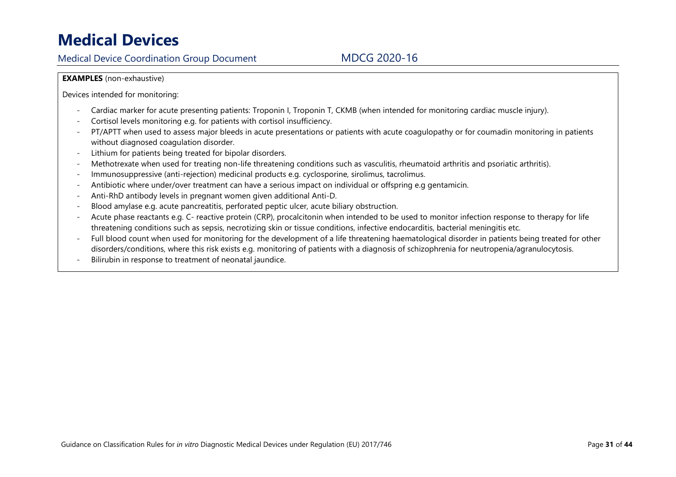Medical Device Coordination Group Document MDCG 2020-16

### **EXAMPLES** (non-exhaustive)

Devices intended for monitoring:

- -Cardiac marker for acute presenting patients: Troponin I, Troponin T, CKMB (when intended for monitoring cardiac muscle injury).
- Cortisol levels monitoring e.g. for patients with cortisol insufficiency.
- PT/APTT when used to assess major bleeds in acute presentations or patients with acute coagulopathy or for coumadin monitoring in patients without diagnosed coagulation disorder.
- -Lithium for patients being treated for bipolar disorders.
- Methotrexate when used for treating non-life threatening conditions such as vasculitis, rheumatoid arthritis and psoriatic arthritis).
- -Immunosuppressive (anti-rejection) medicinal products e.g. cyclosporine, sirolimus, tacrolimus.
- -Antibiotic where under/over treatment can have a serious impact on individual or offspring e.g gentamicin.
- -Anti-RhD antibody levels in pregnant women given additional Anti-D.
- Blood amylase e.g. acute pancreatitis, perforated peptic ulcer, acute biliary obstruction.
- - Acute phase reactants e.g. C- reactive protein (CRP), procalcitonin when intended to be used to monitor infection response to therapy for life threatening conditions such as sepsis, necrotizing skin or tissue conditions, infective endocarditis, bacterial meningitis etc.
- - Full blood count when used for monitoring for the development of a life threatening haematological disorder in patients being treated for other disorders/conditions, where this risk exists e.g. monitoring of patients with a diagnosis of schizophrenia for neutropenia/agranulocytosis.
- -Bilirubin in response to treatment of neonatal jaundice.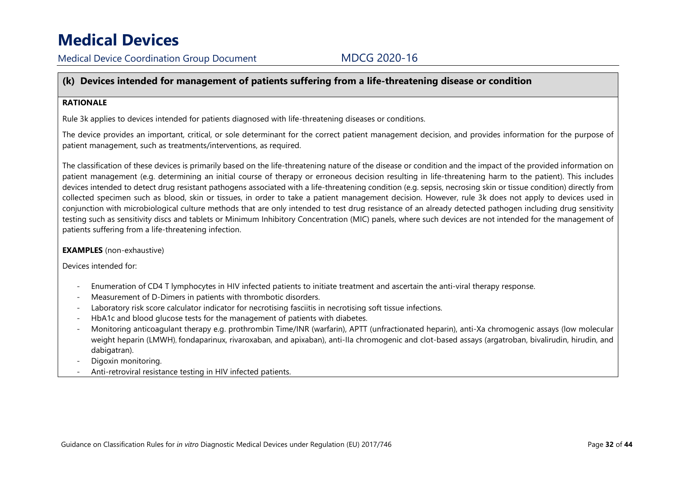### **(k) Devices intended for management of patients suffering from a life-threatening disease or condition**

### **RATIONALE**

Rule 3k applies to devices intended for patients diagnosed with life-threatening diseases or conditions.

The device provides an important, critical, or sole determinant for the correct patient management decision, and provides information for the purpose of patient management, such as treatments/interventions, as required.

The classification of these devices is primarily based on the life-threatening nature of the disease or condition and the impact of the provided information on patient management (e.g. determining an initial course of therapy or erroneous decision resulting in life-threatening harm to the patient). This includes devices intended to detect drug resistant pathogens associated with a life-threatening condition (e.g. sepsis, necrosing skin or tissue condition) directly from collected specimen such as blood, skin or tissues, in order to take a patient management decision. However, rule 3k does not apply to devices used in conjunction with microbiological culture methods that are only intended to test drug resistance of an already detected pathogen including drug sensitivity testing such as sensitivity discs and tablets or Minimum Inhibitory Concentration (MIC) panels, where such devices are not intended for the management of patients suffering from a life-threatening infection.

### **EXAMPLES** (non-exhaustive)

Devices intended for:

- -Enumeration of CD4 T lymphocytes in HIV infected patients to initiate treatment and ascertain the anti-viral therapy response.
- Measurement of D-Dimers in patients with thrombotic disorders.
- -Laboratory risk score calculator indicator for necrotising fasciitis in necrotising soft tissue infections.
- -HbA1c and blood glucose tests for the management of patients with diabetes.
- Monitoring anticoagulant therapy e.g. prothrombin Time/INR (warfarin), APTT (unfractionated heparin), anti-Xa chromogenic assays (low molecular weight heparin (LMWH), fondaparinux, rivaroxaban, and apixaban), anti-IIa chromogenic and clot-based assays (argatroban, bivalirudin, hirudin, and dabigatran).
- Digoxin monitoring.
- Anti-retroviral resistance testing in HIV infected patients.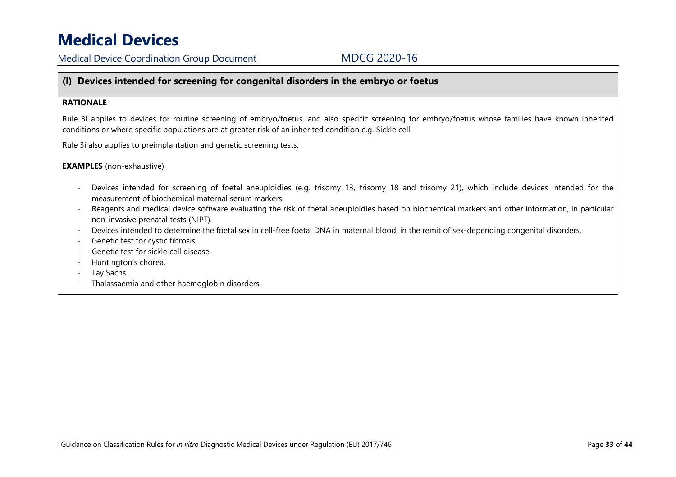Medical Device Coordination Group Document MDCG 2020-16

### **(l) Devices intended for screening for congenital disorders in the embryo or foetus**

### **RATIONALE**

Rule 3l applies to devices for routine screening of embryo/foetus, and also specific screening for embryo/foetus whose families have known inherited conditions or where specific populations are at greater risk of an inherited condition e.g. Sickle cell.

Rule 3i also applies to preimplantation and genetic screening tests.

#### **EXAMPLES** (non-exhaustive)

- - Devices intended for screening of foetal aneuploidies (e.g. trisomy 13, trisomy 18 and trisomy 21), which include devices intended for the measurement of biochemical maternal serum markers.
- - Reagents and medical device software evaluating the risk of foetal aneuploidies based on biochemical markers and other information, in particular non-invasive prenatal tests (NIPT).
- -Devices intended to determine the foetal sex in cell-free foetal DNA in maternal blood, in the remit of sex-depending congenital disorders.
- Genetic test for cystic fibrosis.
- Genetic test for sickle cell disease.
- Huntington's chorea.
- Tay Sachs.
- Thalassaemia and other haemoglobin disorders.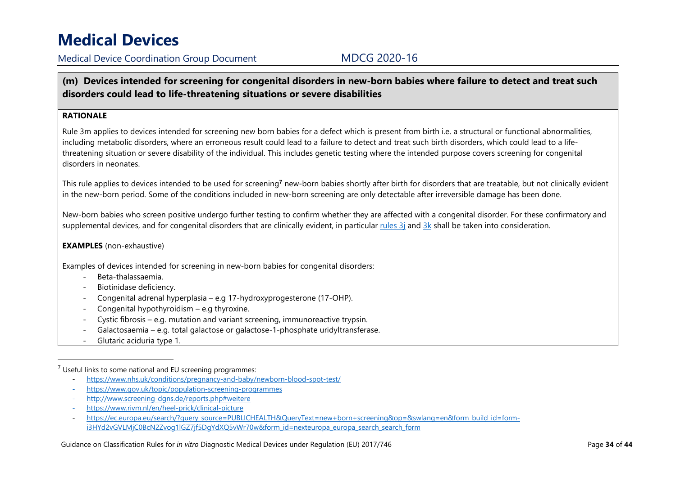## **(m) Devices intended for screening for congenital disorders in new-born babies where failure to detect and treat such disorders could lead to life-threatening situations or severe disabilities**

### **RATIONALE**

Rule 3m applies to devices intended for screening new born babies for a defect which is present from birth i.e. a structural or functional abnormalities, including metabolic disorders, where an erroneous result could lead to a failure to detect and treat such birth disorders, which could lead to a lifethreatening situation or severe disability of the individual. This includes genetic testing where the intended purpose covers screening for congenital disorders in neonates.

This rule applies to devices intended to be used for screening**<sup>7</sup>** new-born babies shortly after birth for disorders that are treatable, but not clinically evident in the new-born period. Some of the conditions included in new-born screening are only detectable after irreversible damage has been done.

New-born babies who screen positive undergo further testing to confirm whether they are affected with a congenital disorder. For these confirmatory and supplemental devices, and for congenital disorders that are clinically evident, in particular rules 3j and 3k shall be taken into consideration.

### **EXAMPLES** (non-exhaustive)

Examples of devices intended for screening in new-born babies for congenital disorders:

- -Beta-thalassaemia.
- -Biotinidase deficiency.
- Congenital adrenal hyperplasia e.g 17-hydroxyprogesterone (17-OHP).
- -Congenital hypothyroidism – e.g thyroxine.
- Cystic fibrosis e.g. mutation and variant screening, immunoreactive trypsin.
- Galactosaemia e.g. total galactose or galactose-1-phosphate uridyltransferase.
- -Glutaric aciduria type 1.

- https://www.nhs.uk/conditions/pregnancy-and-baby/newborn-blood-spot-test/
- https://www.gov.uk/topic/population-screening-programmes
- http://www.screening-dgns.de/reports.php#weitere
- https://www.rivm.nl/en/heel-prick/clinical-picture
- https://ec.europa.eu/search/?query\_source=PUBLICHEALTH&QueryText=new+born+screening&op=&swlang=en&form\_build\_id=formi3HYd2vGVLMjC0BcN2Zvog1lGZ7jf5DgYdXQ5vWr70w&form\_id=nexteuropa\_europa\_search\_search\_form

 $7$  Useful links to some national and EU screening programmes: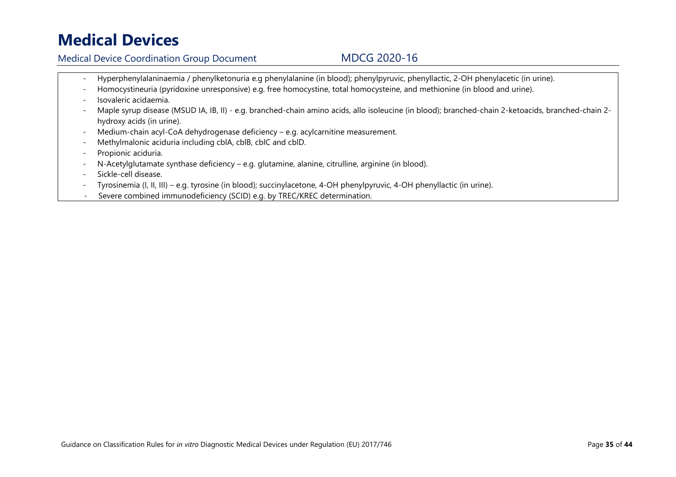## Medical Device Coordination Group Document MDCG 2020-16

- -Hyperphenylalaninaemia / phenylketonuria e.g phenylalanine (in blood); phenylpyruvic, phenyllactic, 2-OH phenylacetic (in urine).
- -Homocystineuria (pyridoxine unresponsive) e.g. free homocystine, total homocysteine, and methionine (in blood and urine).
- -Isovaleric acidaemia.
- - Maple syrup disease (MSUD IA, IB, II) - e.g. branched-chain amino acids, allo isoleucine (in blood); branched-chain 2-ketoacids, branched-chain 2 hydroxy acids (in urine).
- -Medium-chain acyl-CoA dehydrogenase deficiency – e.g. acylcarnitine measurement.
- -Methylmalonic aciduria including cblA, cblB, cblC and cblD.
- -Propionic aciduria.
- -N-Acetylglutamate synthase deficiency – e.g. glutamine, alanine, citrulline, arginine (in blood).
- -Sickle-cell disease.
- -Tyrosinemia (I, II, III) – e.g. tyrosine (in blood); succinylacetone, 4-OH phenylpyruvic, 4-OH phenyllactic (in urine).
- Severe combined immunodeficiency (SCID) e.g. by TREC/KREC determination.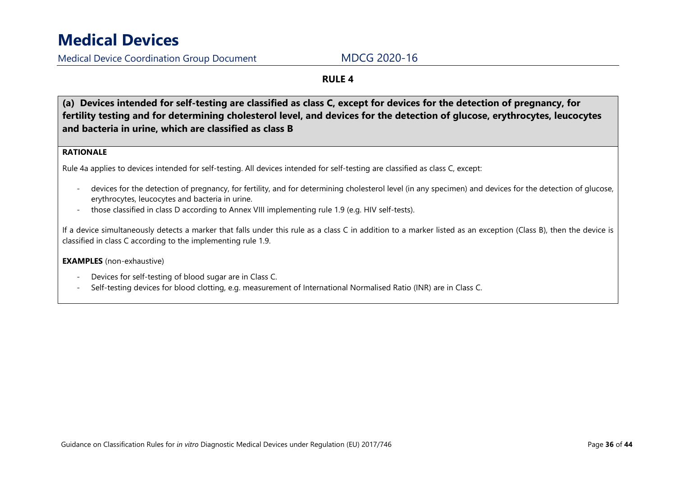Medical Device Coordination Group Document MDCG 2020-16

### **RULE 4**

**(a) Devices intended for self-testing are classified as class C, except for devices for the detection of pregnancy, for fertility testing and for determining cholesterol level, and devices for the detection of glucose, erythrocytes, leucocytes and bacteria in urine, which are classified as class B** 

#### **RATIONALE**

Rule 4a applies to devices intended for self-testing. All devices intended for self-testing are classified as class C, except:

- devices for the detection of pregnancy, for fertility, and for determining cholesterol level (in any specimen) and devices for the detection of glucose, erythrocytes, leucocytes and bacteria in urine.
- those classified in class D according to Annex VIII implementing rule 1.9 (e.g. HIV self-tests).

If a device simultaneously detects a marker that falls under this rule as a class C in addition to a marker listed as an exception (Class B), then the device is classified in class C according to the implementing rule 1.9.

#### **EXAMPLES** (non-exhaustive)

- -Devices for self-testing of blood sugar are in Class C.
- Self-testing devices for blood clotting, e.g. measurement of International Normalised Ratio (INR) are in Class C.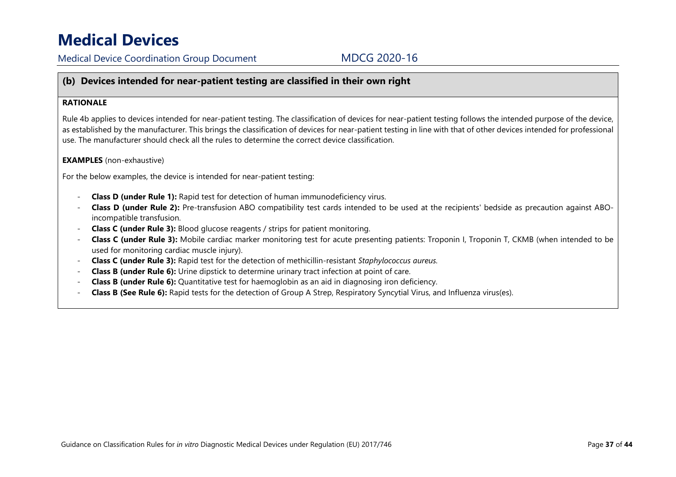Medical Device Coordination Group Document MDCG 2020-16

### **(b) Devices intended for near-patient testing are classified in their own right**

### **RATIONALE**

Rule 4b applies to devices intended for near-patient testing. The classification of devices for near-patient testing follows the intended purpose of the device, as established by the manufacturer. This brings the classification of devices for near-patient testing in line with that of other devices intended for professional use. The manufacturer should check all the rules to determine the correct device classification.

### **EXAMPLES** (non-exhaustive)

For the below examples, the device is intended for near-patient testing:

- **Class D (under Rule 1):** Rapid test for detection of human immunodeficiency virus.
- **Class D (under Rule 2):** Pre-transfusion ABO compatibility test cards intended to be used at the recipients' bedside as precaution against ABOincompatible transfusion.
- **Class C (under Rule 3):** Blood glucose reagents / strips for patient monitoring.
- - **Class C (under Rule 3):** Mobile cardiac marker monitoring test for acute presenting patients: Troponin I, Troponin T, CKMB (when intended to be used for monitoring cardiac muscle injury).
- -**Class C (under Rule 3):** Rapid test for the detection of methicillin-resistant *Staphylococcus aureus.*
- **Class B (under Rule 6):** Urine dipstick to determine urinary tract infection at point of care.
- **Class B (under Rule 6):** Quantitative test for haemoglobin as an aid in diagnosing iron deficiency.
- **Class B (See Rule 6):** Rapid tests for the detection of Group A Strep, Respiratory Syncytial Virus, and Influenza virus(es).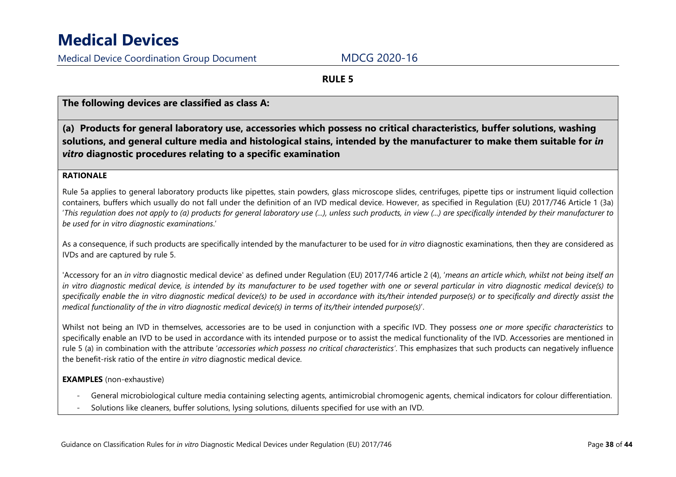Medical Device Coordination Group Document MDCG 2020-16

**RULE 5** 

### **The following devices are classified as class A:**

**(a) Products for general laboratory use, accessories which possess no critical characteristics, buffer solutions, washing solutions, and general culture media and histological stains, intended by the manufacturer to make them suitable for** *in vitro* **diagnostic procedures relating to a specific examination** 

### **RATIONALE**

Rule 5a applies to general laboratory products like pipettes, stain powders, glass microscope slides, centrifuges, pipette tips or instrument liquid collection containers, buffers which usually do not fall under the definition of an IVD medical device. However, as specified in Regulation (EU) 2017/746 Article 1 (3a) '*This regulation does not apply to (a) products for general laboratory use (...), unless such products, in view (...) are specifically intended by their manufacturer to be used for in vitro diagnostic examinations*.'

As a consequence, if such products are specifically intended by the manufacturer to be used for *in vitro* diagnostic examinations, then they are considered as IVDs and are captured by rule 5.

'Accessory for an *in vitro* diagnostic medical device' as defined under Regulation (EU) 2017/746 article 2 (4), '*means an article which, whilst not being itself an in vitro diagnostic medical device, is intended by its manufacturer to be used together with one or several particular in vitro diagnostic medical device(s) to*  specifically enable the in vitro diagnostic medical device(s) to be used in accordance with its/their intended purpose(s) or to specifically and directly assist the *medical functionality of the in vitro diagnostic medical device(s) in terms of its/their intended purpose(s)*'.

Whilst not being an IVD in themselves, accessories are to be used in conjunction with a specific IVD. They possess *one or more specific characteristics* to specifically enable an IVD to be used in accordance with its intended purpose or to assist the medical functionality of the IVD. Accessories are mentioned in rule 5 (a) in combination with the attribute '*accessories which possess no critical characteristics'*. This emphasizes that such products can negatively influence the benefit-risk ratio of the entire *in vitro* diagnostic medical device.

### **EXAMPLES** (non-exhaustive)

- -General microbiological culture media containing selecting agents, antimicrobial chromogenic agents, chemical indicators for colour differentiation.
- Solutions like cleaners, buffer solutions, lysing solutions, diluents specified for use with an IVD.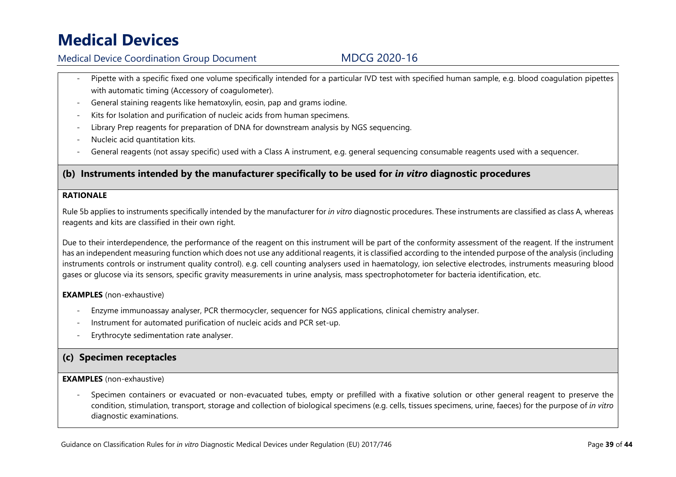## Medical Device Coordination Group Document MDCG 2020-16

- - Pipette with a specific fixed one volume specifically intended for a particular IVD test with specified human sample, e.g. blood coagulation pipettes with automatic timing (Accessory of coagulometer).
- General staining reagents like hematoxylin, eosin, pap and grams iodine.
- Kits for Isolation and purification of nucleic acids from human specimens.
- Library Prep reagents for preparation of DNA for downstream analysis by NGS sequencing.
- Nucleic acid quantitation kits.
- General reagents (not assay specific) used with a Class A instrument, e.g. general sequencing consumable reagents used with a sequencer.

### **(b) Instruments intended by the manufacturer specifically to be used for** *in vitro* **diagnostic procedures**

### **RATIONALE**

Rule 5b applies to instruments specifically intended by the manufacturer for *in vitro* diagnostic procedures. These instruments are classified as class A, whereas reagents and kits are classified in their own right.

Due to their interdependence, the performance of the reagent on this instrument will be part of the conformity assessment of the reagent. If the instrument has an independent measuring function which does not use any additional reagents, it is classified according to the intended purpose of the analysis (including instruments controls or instrument quality control). e.g. cell counting analysers used in haematology, ion selective electrodes, instruments measuring blood gases or glucose via its sensors, specific gravity measurements in urine analysis, mass spectrophotometer for bacteria identification, etc.

### **EXAMPLES** (non-exhaustive)

- Enzyme immunoassay analyser, PCR thermocycler, sequencer for NGS applications, clinical chemistry analyser.
- Instrument for automated purification of nucleic acids and PCR set-up.
- Erythrocyte sedimentation rate analyser.

### **(c) Specimen receptacles**

### **EXAMPLES** (non-exhaustive)

- Specimen containers or evacuated or non-evacuated tubes, empty or prefilled with a fixative solution or other general reagent to preserve the condition, stimulation, transport, storage and collection of biological specimens (e.g. cells, tissues specimens, urine, faeces) for the purpose of *in vitro* diagnostic examinations.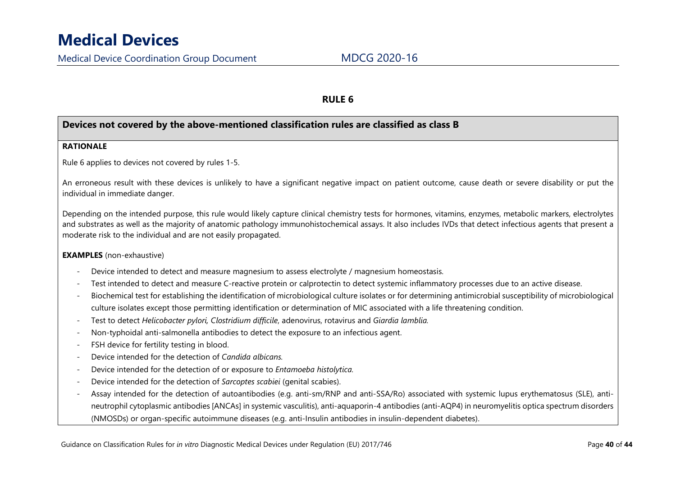### **RULE 6**

### **Devices not covered by the above-mentioned classification rules are classified as class B**

### **RATIONALE**

Rule 6 applies to devices not covered by rules 1-5.

An erroneous result with these devices is unlikely to have a significant negative impact on patient outcome, cause death or severe disability or put the individual in immediate danger.

Depending on the intended purpose, this rule would likely capture clinical chemistry tests for hormones, vitamins, enzymes, metabolic markers, electrolytes and substrates as well as the majority of anatomic pathology immunohistochemical assays. It also includes IVDs that detect infectious agents that present a moderate risk to the individual and are not easily propagated.

### **EXAMPLES** (non-exhaustive)

- -Device intended to detect and measure magnesium to assess electrolyte / magnesium homeostasis.
- -Test intended to detect and measure C-reactive protein or calprotectin to detect systemic inflammatory processes due to an active disease.
- - Biochemical test for establishing the identification of microbiological culture isolates or for determining antimicrobial susceptibility of microbiological culture isolates except those permitting identification or determination of MIC associated with a life threatening condition.
- -Test to detect *Helicobacter pylori, Clostridium difficile*, adenovirus, rotavirus and *Giardia lamblia.*
- Non-typhoidal anti-salmonella antibodies to detect the exposure to an infectious agent.
- FSH device for fertility testing in blood.
- Device intended for the detection of *Candida albicans.*
- -Device intended for the detection of or exposure to *Entamoeba histolytica.*
- -Device intended for the detection of *Sarcoptes scabiei* (genital scabies).
- Assay intended for the detection of autoantibodies (e.g. anti-sm/RNP and anti-SSA/Ro) associated with systemic lupus erythematosus (SLE), antineutrophil cytoplasmic antibodies [ANCAs] in systemic vasculitis), anti-aquaporin-4 antibodies (anti-AQP4) in neuromyelitis optica spectrum disorders (NMOSDs) or organ-specific autoimmune diseases (e.g. anti-Insulin antibodies in insulin-dependent diabetes).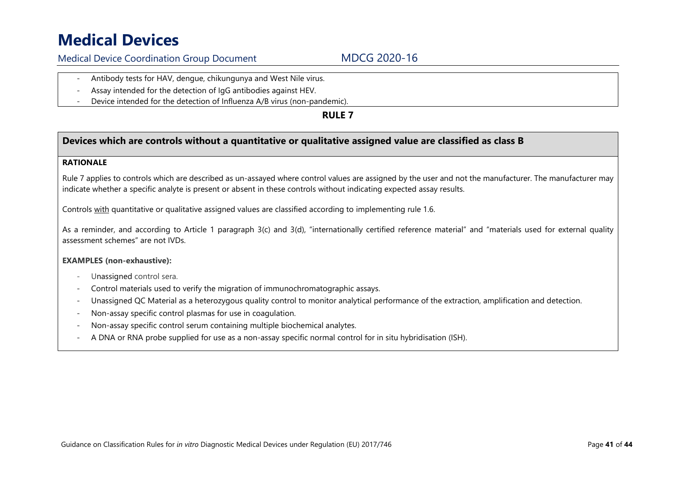## Medical Device Coordination Group Document MDCG 2020-16

- Antibody tests for HAV, dengue, chikungunya and West Nile virus.
- Assay intended for the detection of IgG antibodies against HEV.
- Device intended for the detection of Influenza A/B virus (non-pandemic).

### **RULE 7**

### **Devices which are controls without a quantitative or qualitative assigned value are classified as class B**

### **RATIONALE**

Rule 7 applies to controls which are described as un-assayed where control values are assigned by the user and not the manufacturer. The manufacturer may indicate whether a specific analyte is present or absent in these controls without indicating expected assay results.

Controls <u>with</u> quantitative or qualitative assigned values are classified according to implementing rule 1.6.

As a reminder, and according to Article 1 paragraph 3(c) and 3(d), "internationally certified reference material" and "materials used for external quality assessment schemes" are not IVDs.

#### **EXAMPLES (non-exhaustive):**

- -Unassigned control sera.
- Control materials used to verify the migration of immunochromatographic assays.
- Unassigned QC Material as a heterozygous quality control to monitor analytical performance of the extraction, amplification and detection.
- Non-assay specific control plasmas for use in coagulation.
- Non-assay specific control serum containing multiple biochemical analytes.
- A DNA or RNA probe supplied for use as a non-assay specific normal control for in situ hybridisation (ISH).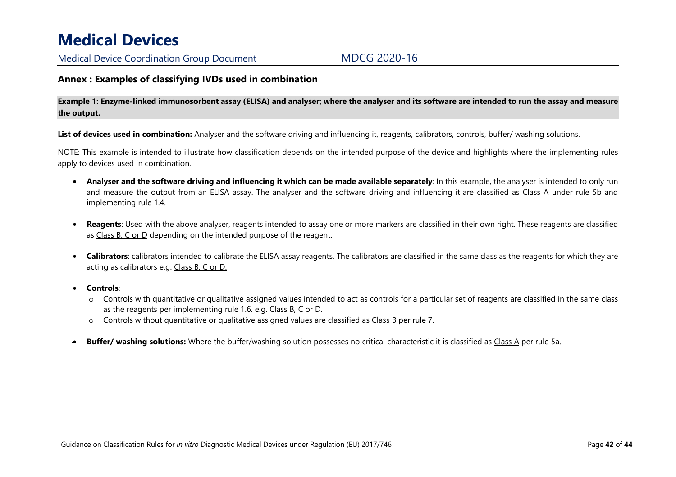### **Annex : Examples of classifying IVDs used in combination**

**Example 1: Enzyme-linked immunosorbent assay (ELISA) and analyser; where the analyser and its software are intended to run the assay and measure the output.** 

**List of devices used in combination:** Analyser and the software driving and influencing it, reagents, calibrators, controls, buffer/ washing solutions.

NOTE: This example is intended to illustrate how classification depends on the intended purpose of the device and highlights where the implementing rules apply to devices used in combination.

- **Analyser and the software driving and influencing it which can be made available separately**: In this example, the analyser is intended to only run and measure the output from an ELISA assay. The analyser and the software driving and influencing it are classified as Class A under rule 5b and implementing rule 1.4.
- • **Reagents**: Used with the above analyser, reagents intended to assay one or more markers are classified in their own right. These reagents are classified as Class B, C or D depending on the intended purpose of the reagent.
- • **Calibrators**: calibrators intended to calibrate the ELISA assay reagents. The calibrators are classified in the same class as the reagents for which they are acting as calibrators e.g. Class B, C or D.
- • **Controls**:
	- o Controls with quantitative or qualitative assigned values intended to act as controls for a particular set of reagents are classified in the same class as the reagents per implementing rule 1.6. e.g. Class B, C or D.
	- $\circ$  Controls without quantitative or qualitative assigned values are classified as <u>Class B</u> per rule 7.
- •**Buffer/ washing solutions:** Where the buffer/washing solution possesses no critical characteristic it is classified as Class A per rule 5a.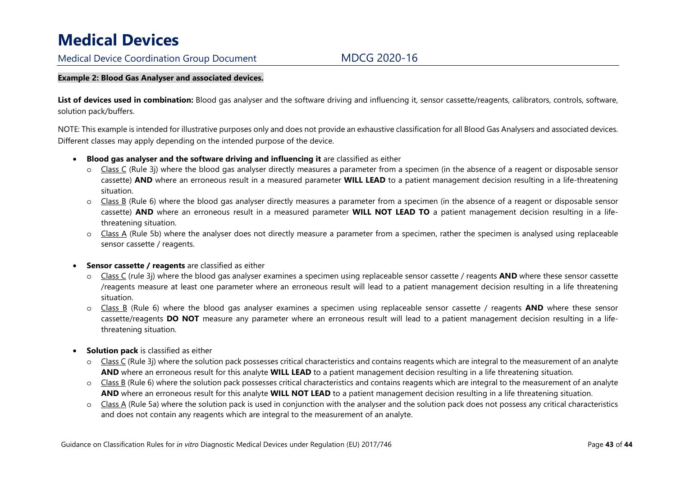Medical Device Coordination Group Document MDCG 2020-16

#### **Example 2: Blood Gas Analyser and associated devices.**

**List of devices used in combination:** Blood gas analyser and the software driving and influencing it, sensor cassette/reagents, calibrators, controls, software, solution pack/buffers.

NOTE: This example is intended for illustrative purposes only and does not provide an exhaustive classification for all Blood Gas Analysers and associated devices. Different classes may apply depending on the intended purpose of the device.

- **Blood gas analyser and the software driving and influencing it** are classified as either
	- o Class C (Rule 3j) where the blood gas analyser directly measures a parameter from a specimen (in the absence of a reagent or disposable sensor cassette) **AND** where an erroneous result in a measured parameter **WILL LEAD** to a patient management decision resulting in a life-threatening situation.
	- o Class B (Rule 6) where the blood gas analyser directly measures a parameter from a specimen (in the absence of a reagent or disposable sensor cassette) **AND** where an erroneous result in a measured parameter **WILL NOT LEAD TO** a patient management decision resulting in a lifethreatening situation.
	- o Class A (Rule 5b) where the analyser does not directly measure a parameter from a specimen, rather the specimen is analysed using replaceable sensor cassette / reagents.
- • **Sensor cassette / reagents** are classified as either
	- o Class C (rule 3j) where the blood gas analyser examines a specimen using replaceable sensor cassette / reagents **AND** where these sensor cassette /reagents measure at least one parameter where an erroneous result will lead to a patient management decision resulting in a life threatening situation.
	- o Class B (Rule 6) where the blood gas analyser examines a specimen using replaceable sensor cassette / reagents **AND** where these sensor cassette/reagents **DO NOT** measure any parameter where an erroneous result will lead to a patient management decision resulting in a lifethreatening situation.
- • **Solution pack** is classified as either
	- Class C (Rule 3j) where the solution pack possesses critical characteristics and contains reagents which are integral to the measurement of an analyte **AND** where an erroneous result for this analyte **WILL LEAD** to a patient management decision resulting in a life threatening situation.
	- $\circ$  Class B (Rule 6) where the solution pack possesses critical characteristics and contains reagents which are integral to the measurement of an analyte **AND** where an erroneous result for this analyte **WILL NOT LEAD** to a patient management decision resulting in a life threatening situation.
	- Class A (Rule 5a) where the solution pack is used in conjunction with the analyser and the solution pack does not possess any critical characteristics and does not contain any reagents which are integral to the measurement of an analyte.